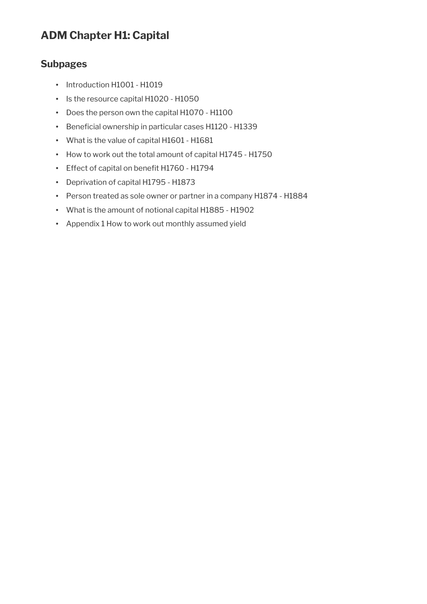# **ADM Chapter H1: Capital**

### **Subpages**

- Introduction H1001 H1019
- Is the resource capital H1020 H1050
- Does the person own the capital H1070 H1100
- Beneficial ownership in particular cases H1120 H1339
- What is the value of capital H1601 H1681
- How to work out the total amount of capital H1745 H1750
- Effect of capital on benefit H1760 H1794
- Deprivation of capital H1795 H1873
- Person treated as sole owner or partner in a company H1874 H1884
- What is the amount of notional capital H1885 H1902
- Appendix 1 How to work out monthly assumed yield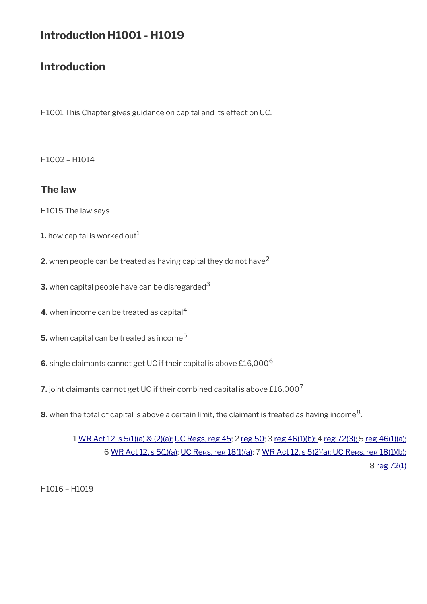# **Introduction H1001 - H1019**

# **Introduction**

H1001 This Chapter gives guidance on capital and its effect on UC.

H1002 – H1014

### **The law**

H1015 The law says

- **1.** how capital is worked out<sup>1</sup>
- **2.** when people can be treated as having capital they do not have<sup>2</sup>
- **3.** when capital people have can be disregarded  $3$
- **4.** when income can be treated as capital<sup>4</sup>
- **5.** when capital can be treated as income<sup>5</sup>
- **6.** single claimants cannot get UC if their capital is above £16,000<sup>6</sup>
- **7.** joint claimants cannot get UC if their combined capital is above £16,000<sup>7</sup>
- ${\bf 8}.$  when the total of capital is above a certain limit, the claimant is treated as having income $^8.$

1 [WR Act 12, s 5\(1\)\(a\) & \(2\)\(a\);](http://www.legislation.gov.uk/ukpga/2012/5/section/5) [UC Regs, reg 45;](http://www.legislation.gov.uk/uksi/2013/376/regulation/45) 2 [reg 50;](http://www.legislation.gov.uk/uksi/2013/376/regulation/50) 3 [reg 46\(1\)\(b\); 4](http://www.legislation.gov.uk/uksi/2013/376/regulation/46) [reg 72\(3\);](http://www.legislation.gov.uk/uksi/2013/376/regulation/72) 5 [reg 46\(1\)\(a\);](http://www.legislation.gov.uk/uksi/2013/376/regulation/46) 6 [WR Act 12, s 5\(1\)\(a\)](http://www.legislation.gov.uk/ukpga/2012/5/section/5); [UC Regs, reg 18\(1\)\(a\)](http://www.legislation.gov.uk/uksi/2013/376/regulation/18); 7 [WR Act 12, s 5\(2\)\(a\);](http://www.legislation.gov.uk/ukpga/2012/5/section/5) [UC Regs, reg 18\(1\)\(b\);](http://www.legislation.gov.uk/uksi/2013/376/regulation/18) 8 [reg 72\(1\)](http://www.legislation.gov.uk/uksi/2013/376/regulation/72)

H1016 – H1019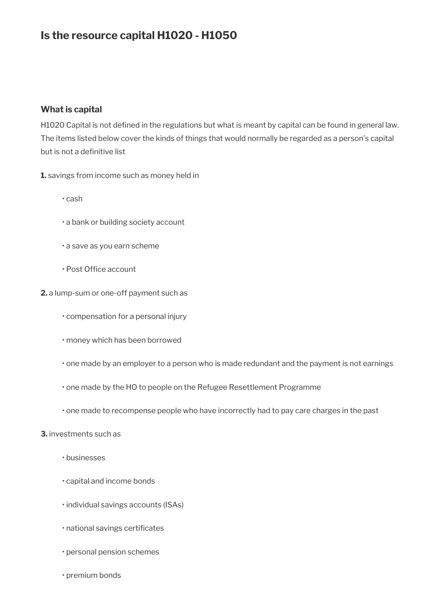# **Is the resource capital H1020 - H1050**

#### **What is capital**

H1020 Capital is not defined in the regulations but what is meant by capital can be found in general law. The items listed below cover the kinds of things that would normally be regarded as a person's capital but is not a definitive list

**1.** savings from income such as money held in

- cash
- a bank or building society account
- a save as you earn scheme
- Post Office account
- **2.** a lump-sum or one-off payment such as
	- compensation for a personal injury
	- money which has been borrowed
	- one made by an employer to a person who is made redundant and the payment is not earnings
	- one made by the HO to people on the Refugee Resettlement Programme
	- one made to recompense people who have incorrectly had to pay care charges in the past

#### **3.** investments such as

- businesses
- capital and income bonds
- individual savings accounts (ISAs)
- national savings certificates
- personal pension schemes
- premium bonds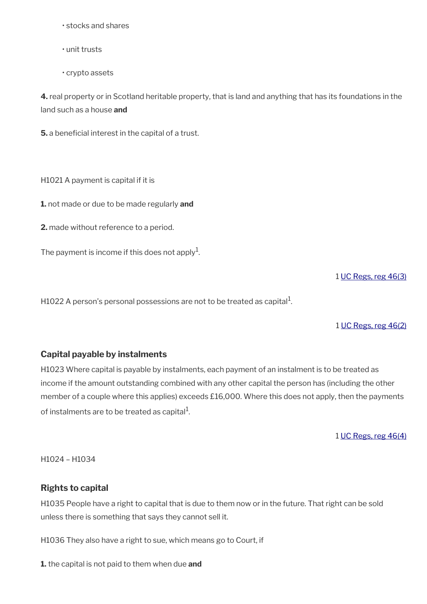- stocks and shares
- unit trusts
- crypto assets

**4.** real property or in Scotland heritable property, that is land and anything that has its foundations in the land such as a house **and** 

**5.** a beneficial interest in the capital of a trust.

H1021 A payment is capital if it is

**1.** not made or due to be made regularly **and** 

**2.** made without reference to a period.

The payment is income if this does not apply $^1$ .

1 [UC Regs, reg 46\(3\)](http://www.legislation.gov.uk/uksi/2013/376/regulation/46)

H1022 A person's personal possessions are not to be treated as capital $^{\rm 1}$ .

#### 1 [UC Regs, reg 46\(2\)](http://www.legislation.gov.uk/uksi/2013/376/regulation/46)

### **Capital payable by instalments**

H1023 Where capital is payable by instalments, each payment of an instalment is to be treated as income if the amount outstanding combined with any other capital the person has (including the other member of a couple where this applies) exceeds £16,000. Where this does not apply, then the payments of instalments are to be treated as capital $^{\rm 1}$ .

1 [UC Regs, reg 46\(4\)](http://www.legislation.gov.uk/uksi/2013/376/regulation/46)

H1024 – H1034

### **Rights to capital**

H1035 People have a right to capital that is due to them now or in the future. That right can be sold unless there is something that says they cannot sell it.

H1036 They also have a right to sue, which means go to Court, if

**1.** the capital is not paid to them when due **and**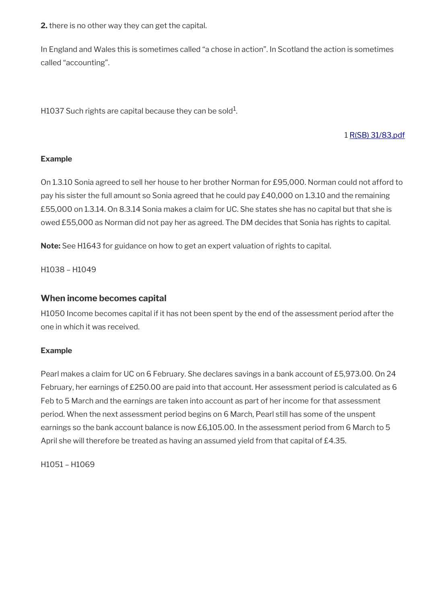**2.** there is no other way they can get the capital.

In England and Wales this is sometimes called "a chose in action". In Scotland the action is sometimes called "accounting".

H1037 Such rights are capital because they can be sold $^{\rm 1}$ .

#### 1 [R\(SB\) 31/83.pdf](../file/886192/download/R%2528SB%2529%252031%252F83.pdf)

#### **Example**

On 1.3.10 Sonia agreed to sell her house to her brother Norman for £95,000. Norman could not afford to pay his sister the full amount so Sonia agreed that he could pay £40,000 on 1.3.10 and the remaining £55,000 on 1.3.14. On 8.3.14 Sonia makes a claim for UC. She states she has no capital but that she is owed £55,000 as Norman did not pay her as agreed. The DM decides that Sonia has rights to capital.

**Note:** See H1643 for guidance on how to get an expert valuation of rights to capital.

H1038 – H1049

#### **When income becomes capital**

H1050 Income becomes capital if it has not been spent by the end of the assessment period after the one in which it was received.

#### **Example**

Pearl makes a claim for UC on 6 February. She declares savings in a bank account of £5,973.00. On 24 February, her earnings of £250.00 are paid into that account. Her assessment period is calculated as 6 Feb to 5 March and the earnings are taken into account as part of her income for that assessment period. When the next assessment period begins on 6 March, Pearl still has some of the unspent earnings so the bank account balance is now £6,105.00. In the assessment period from 6 March to 5 April she will therefore be treated as having an assumed yield from that capital of £4.35.

H1051 – H1069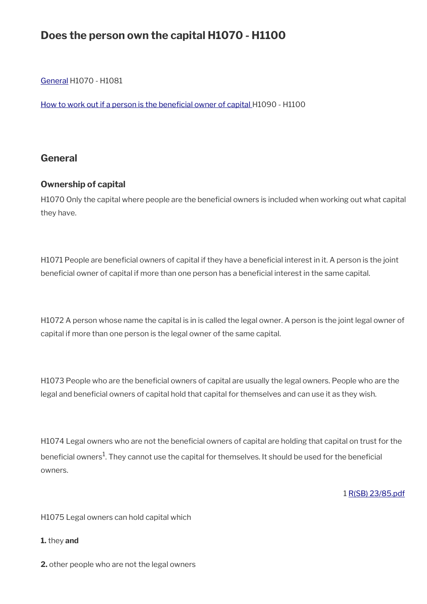# **Does the person own the capital H1070 - H1100**

[General](#page-5-0) H1070 - H1081

How to work out if a person is the beneficial owner of capital H1090 - H1100

### <span id="page-5-0"></span>**General**

### **Ownership of capital**

H1070 Only the capital where people are the beneficial owners is included when working out what capital they have.

H1071 People are beneficial owners of capital if they have a beneficial interest in it. A person is the joint beneficial owner of capital if more than one person has a beneficial interest in the same capital.

H1072 A person whose name the capital is in is called the legal owner. A person is the joint legal owner of capital if more than one person is the legal owner of the same capital.

H1073 People who are the benefcial owners of capital are usually the legal owners. People who are the legal and beneficial owners of capital hold that capital for themselves and can use it as they wish.

H1074 Legal owners who are not the beneficial owners of capital are holding that capital on trust for the beneficial owners $^1$ . They cannot use the capital for themselves. It should be used for the beneficial owners.

1 [R\(SB\) 23/85.pdf](../file/886198/download/R%2528SB%2529%252023%252F85.pdf)

H1075 Legal owners can hold capital which

- **1.** they **and**
- **2.** other people who are not the legal owners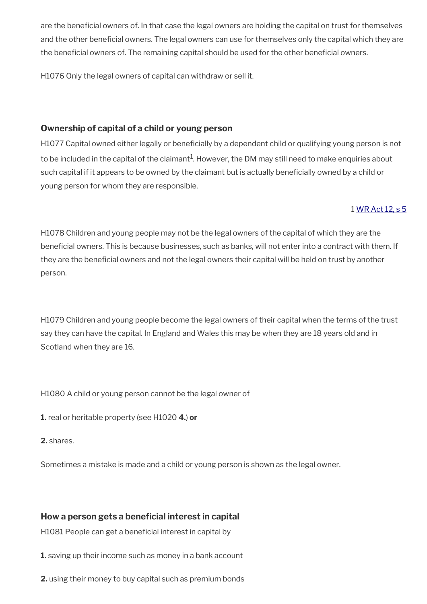are the beneficial owners of. In that case the legal owners are holding the capital on trust for themselves and the other benefcial owners. The legal owners can use for themselves only the capital which they are the beneficial owners of. The remaining capital should be used for the other beneficial owners.

H1076 Only the legal owners of capital can withdraw or sell it.

### **Ownership of capital of a child or young person**

H1077 Capital owned either legally or beneficially by a dependent child or qualifying young person is not to be included in the capital of the claimant $^{\rm 1}$ . However, the DM may still need to make enquiries about such capital if it appears to be owned by the claimant but is actually beneficially owned by a child or young person for whom they are responsible.

### 1 [WR Act 12, s 5](http://www.legislation.gov.uk/ukpga/2012/5/section/5)

H1078 Children and young people may not be the legal owners of the capital of which they are the beneficial owners. This is because businesses, such as banks, will not enter into a contract with them. If they are the beneficial owners and not the legal owners their capital will be held on trust by another person.

H1079 Children and young people become the legal owners of their capital when the terms of the trust say they can have the capital. In England and Wales this may be when they are 18 years old and in Scotland when they are 16.

H1080 A child or young person cannot be the legal owner of

**1.** real or heritable property (see H1020 **4.**) **or** 

**2.** shares.

Sometimes a mistake is made and a child or young person is shown as the legal owner.

### How a person gets a beneficial interest in capital

H1081 People can get a beneficial interest in capital by

**1.** saving up their income such as money in a bank account

**2.** using their money to buy capital such as premium bonds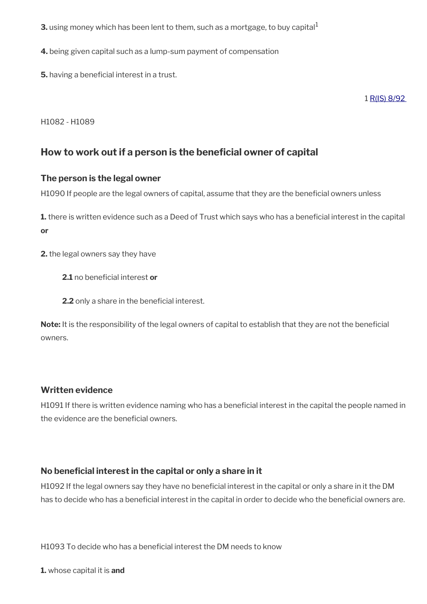**3.** using money which has been lent to them, such as a mortgage, to buy capital $^1$ 

**4.** being given capital such as a lump-sum payment of compensation

**5.** having a beneficial interest in a trust.

1 [R\(IS\) 8/92](http://intranet.dwp.gov.uk/manual/decision-benefit/ris-8-92) 

H1082 - H1089

### <span id="page-7-0"></span>How to work out if a person is the beneficial owner of capital

### **The person is the legal owner**

H1090 If people are the legal owners of capital, assume that they are the beneficial owners unless

**1.** there is written evidence such as a Deed of Trust which says who has a beneficial interest in the capital **or** 

**2.** the legal owners say they have

**2.1** no beneficial interest or

**2.2** only a share in the beneficial interest.

Note: It is the responsibility of the legal owners of capital to establish that they are not the beneficial owners.

### **Written evidence**

H1091 If there is written evidence naming who has a beneficial interest in the capital the people named in the evidence are the beneficial owners.

### **No benefcial interest in the capital or only a share in it**

H1092 If the legal owners say they have no beneficial interest in the capital or only a share in it the DM has to decide who has a beneficial interest in the capital in order to decide who the beneficial owners are.

H1093 To decide who has a beneficial interest the DM needs to know

**1.** whose capital it is **and**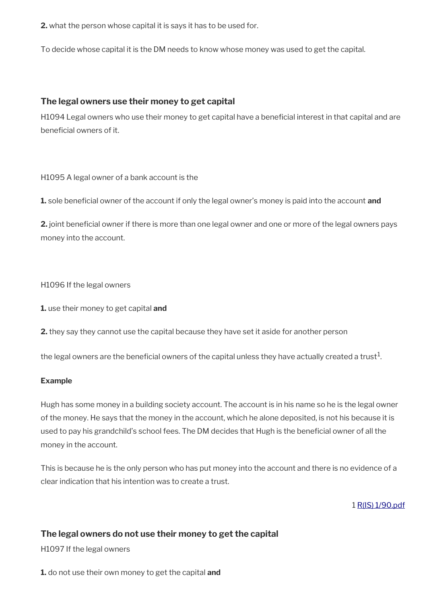**2.** what the person whose capital it is says it has to be used for.

To decide whose capital it is the DM needs to know whose money was used to get the capital.

#### **The legal owners use their money to get capital**

H1094 Legal owners who use their money to get capital have a benefcial interest in that capital and are beneficial owners of it.

H1095 A legal owner of a bank account is the

**1.** sole beneficial owner of the account if only the legal owner's money is paid into the account **and** 

**2.** joint beneficial owner if there is more than one legal owner and one or more of the legal owners pays money into the account.

H1096 If the legal owners

**1.** use their money to get capital **and** 

**2.** they say they cannot use the capital because they have set it aside for another person

the legal owners are the beneficial owners of the capital unless they have actually created a trust $^1$ .

#### **Example**

Hugh has some money in a building society account. The account is in his name so he is the legal owner of the money. He says that the money in the account, which he alone deposited, is not his because it is used to pay his grandchild's school fees. The DM decides that Hugh is the beneficial owner of all the money in the account.

This is because he is the only person who has put money into the account and there is no evidence of a clear indication that his intention was to create a trust.

1 [R\(IS\) 1/90.pdf](../file/886207/download/R%2528IS%2529%25201%252F90.pdf)

### **The legal owners do not use their money to get the capital**

H1097 If the legal owners

**1.** do not use their own money to get the capital **and**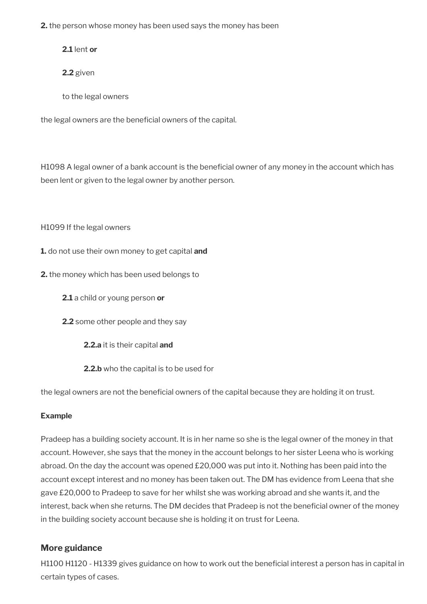**2.** the person whose money has been used says the money has been

**2.1** lent **or** 

**2.2** given

to the legal owners

the legal owners are the beneficial owners of the capital.

H1098 A legal owner of a bank account is the beneficial owner of any money in the account which has been lent or given to the legal owner by another person.

H1099 If the legal owners

- **1.** do not use their own money to get capital **and**
- **2.** the money which has been used belongs to
	- **2.1** a child or young person **or**
	- **2.2** some other people and they say
		- **2.2.a** it is their capital **and**
		- **2.2.b** who the capital is to be used for

the legal owners are not the beneficial owners of the capital because they are holding it on trust.

#### **Example**

Pradeep has a building society account. It is in her name so she is the legal owner of the money in that account. However, she says that the money in the account belongs to her sister Leena who is working abroad. On the day the account was opened £20,000 was put into it. Nothing has been paid into the account except interest and no money has been taken out. The DM has evidence from Leena that she gave £20,000 to Pradeep to save for her whilst she was working abroad and she wants it, and the interest, back when she returns. The DM decides that Pradeep is not the beneficial owner of the money in the building society account because she is holding it on trust for Leena.

### **More guidance**

H1100 H1120 - H1339 gives guidance on how to work out the beneficial interest a person has in capital in certain types of cases.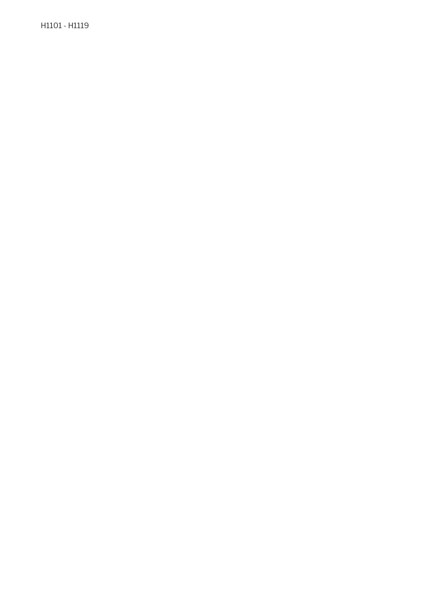H1101 - H1119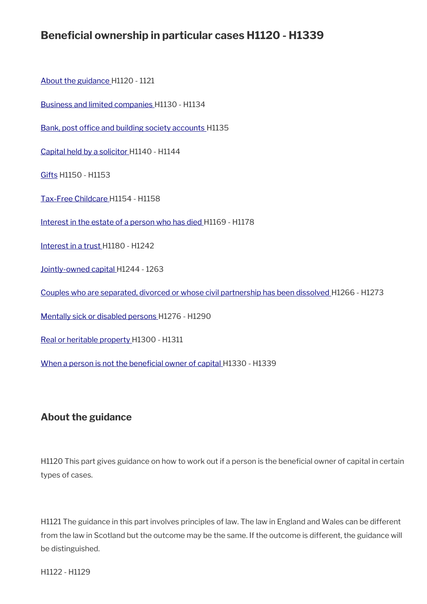# **Beneficial ownership in particular cases H1120 - H1339**

[About the guidance](#page-11-0) H1120 - 1121

[Business and limited companies](#page-12-0) H1130 - H1134

Bank, post office and building society accounts H1135

[Capital held by a solicitor](#page-13-0) H1140 - H1144

[Gifts](#page-15-1) H1150 - H1153

[Tax-Free Childcare](#page-15-0) H1154 - H1158

[Interest in the estate of a person who has died](#page-16-0) H1169 - H1178

[Interest in a trust H](#page-18-0)1180 - H1242

[Jointly-owned capital](#page-25-0) H1244 - 1263

[Couples who are separated, divorced or whose civil partnership has been dissolved](#page-30-0) H1266 - H1273

[Mentally sick or disabled persons H](#page-32-0)1276 - H1290

[Real or heritable property H](#page-35-0)1300 - H1311

When a person is not the beneficial owner of capital H1330 - H1339

### <span id="page-11-0"></span>**About the guidance**

H1120 This part gives guidance on how to work out if a person is the beneficial owner of capital in certain types of cases.

H1121 The guidance in this part involves principles of law. The law in England and Wales can be different from the law in Scotland but the outcome may be the same. If the outcome is different, the guidance will be distinguished.

H1122 - H1129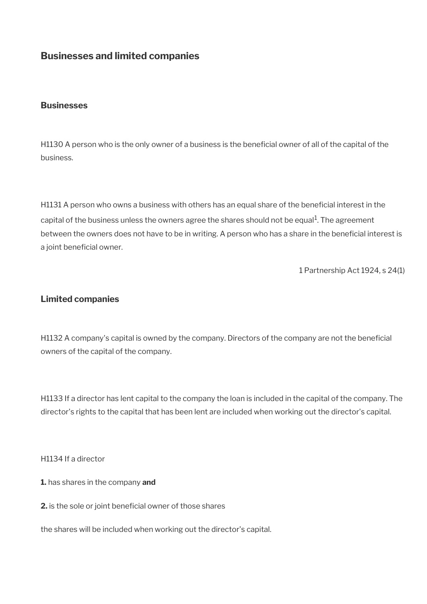### <span id="page-12-0"></span>**Businesses and limited companies**

#### **Businesses**

H1130 A person who is the only owner of a business is the beneficial owner of all of the capital of the business.

H1131 A person who owns a business with others has an equal share of the beneficial interest in the capital of the business unless the owners agree the shares should not be equal<sup>1</sup>. The agreement between the owners does not have to be in writing. A person who has a share in the beneficial interest is a joint beneficial owner.

1 Partnership Act 1924, s 24(1)

### **Limited companies**

H1132 A company's capital is owned by the company. Directors of the company are not the beneficial owners of the capital of the company.

H1133 If a director has lent capital to the company the loan is included in the capital of the company. The director's rights to the capital that has been lent are included when working out the director's capital.

H1134 If a director

**1.** has shares in the company **and** 

**2.** is the sole or joint beneficial owner of those shares

the shares will be included when working out the director's capital.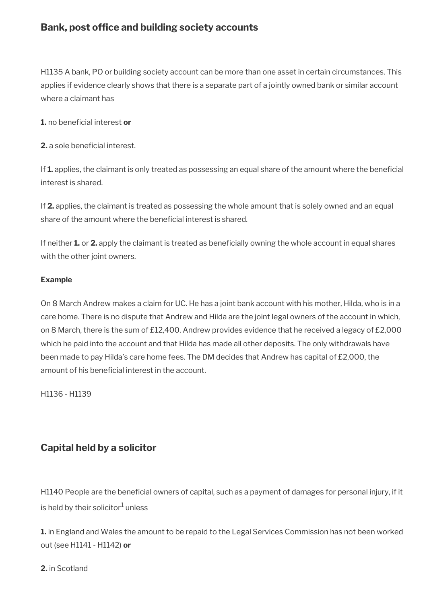### <span id="page-13-1"></span>**Bank, post office and building society accounts**

H1135 A bank, PO or building society account can be more than one asset in certain circumstances. This applies if evidence clearly shows that there is a separate part of a jointly owned bank or similar account where a claimant has

**1.** no beneficial interest or

**2.** a sole beneficial interest.

If 1. applies, the claimant is only treated as possessing an equal share of the amount where the beneficial interest is shared.

If **2.** applies, the claimant is treated as possessing the whole amount that is solely owned and an equal share of the amount where the beneficial interest is shared.

If neither **1.** or **2.** apply the claimant is treated as benefcially owning the whole account in equal shares with the other joint owners.

#### **Example**

On 8 March Andrew makes a claim for UC. He has a joint bank account with his mother, Hilda, who is in a care home. There is no dispute that Andrew and Hilda are the joint legal owners of the account in which, on 8 March, there is the sum of £12,400. Andrew provides evidence that he received a legacy of £2,000 which he paid into the account and that Hilda has made all other deposits. The only withdrawals have been made to pay Hilda's care home fees. The DM decides that Andrew has capital of £2,000, the amount of his beneficial interest in the account.

H1136 - H1139

## <span id="page-13-0"></span>**Capital held by a solicitor**

H1140 People are the beneficial owners of capital, such as a payment of damages for personal injury, if it is held by their solicitor $^1$  unless

**1.** in England and Wales the amount to be repaid to the Legal Services Commission has not been worked out (see H1141 - H1142) **or**

#### **2.** in Scotland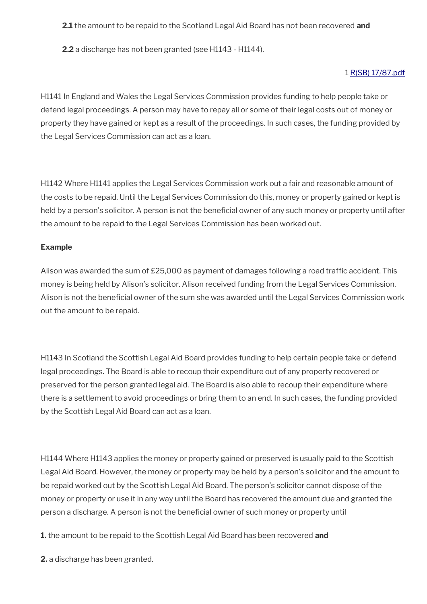#### **2.1** the amount to be repaid to the Scotland Legal Aid Board has not been recovered **and**

**2.2** a discharge has not been granted (see H1143 - H1144).

#### 1 [R\(SB\) 17/87.pdf](../file/886222/download/R%2528SB%2529%252017%252F87.pdf)

H1141 In England and Wales the Legal Services Commission provides funding to help people take or defend legal proceedings. A person may have to repay all or some of their legal costs out of money or property they have gained or kept as a result of the proceedings. In such cases, the funding provided by the Legal Services Commission can act as a loan.

H1142 Where H1141 applies the Legal Services Commission work out a fair and reasonable amount of the costs to be repaid. Until the Legal Services Commission do this, money or property gained or kept is held by a person's solicitor. A person is not the beneficial owner of any such money or property until after the amount to be repaid to the Legal Services Commission has been worked out.

#### **Example**

Alison was awarded the sum of £25,000 as payment of damages following a road traffic accident. This money is being held by Alison's solicitor. Alison received funding from the Legal Services Commission. Alison is not the beneficial owner of the sum she was awarded until the Legal Services Commission work out the amount to be repaid.

H1143 In Scotland the Scottish Legal Aid Board provides funding to help certain people take or defend legal proceedings. The Board is able to recoup their expenditure out of any property recovered or preserved for the person granted legal aid. The Board is also able to recoup their expenditure where there is a settlement to avoid proceedings or bring them to an end. In such cases, the funding provided by the Scottish Legal Aid Board can act as a loan.

H1144 Where H1143 applies the money or property gained or preserved is usually paid to the Scottish Legal Aid Board. However, the money or property may be held by a person's solicitor and the amount to be repaid worked out by the Scottish Legal Aid Board. The person's solicitor cannot dispose of the money or property or use it in any way until the Board has recovered the amount due and granted the person a discharge. A person is not the benefcial owner of such money or property until

**1.** the amount to be repaid to the Scottish Legal Aid Board has been recovered **and**

**2.** a discharge has been granted.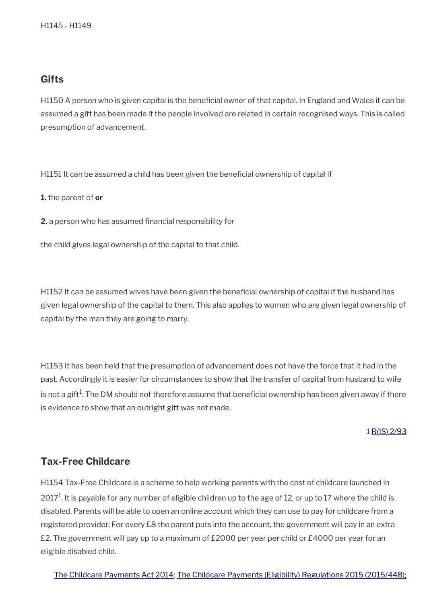### <span id="page-15-1"></span>**Gifts**

H1150 A person who is given capital is the beneficial owner of that capital. In England and Wales it can be assumed a gift has been made if the people involved are related in certain recognised ways. This is called presumption of advancement.

H1151 It can be assumed a child has been given the beneficial ownership of capital if

**1.** the parent of **or** 

**2.** a person who has assumed financial responsibility for

the child gives legal ownership of the capital to that child.

H1152 It can be assumed wives have been given the beneficial ownership of capital if the husband has given legal ownership of the capital to them. This also applies to women who are given legal ownership of capital by the man they are going to marry.

H1153 It has been held that the presumption of advancement does not have the force that it had in the past. Accordingly it is easier for circumstances to show that the transfer of capital from husband to wife is not a gift $^1$ . The DM should not therefore assume that beneficial ownership has been given away if there is evidence to show that an outright gift was not made.

#### 1 [R\(IS\) 2/93](http://intranet.dwp.gov.uk/manual/decision-benefit/ris-2-93)

### <span id="page-15-0"></span>**Tax-Free Childcare**

H1154 Tax-Free Childcare is a scheme to help working parents with the cost of childcare launched in 2017 $^1$ . It is payable for any number of eligible children up to the age of 12, or up to 17 where the child is disabled. Parents will be able to open an online account which they can use to pay for childcare from a registered provider. For every £8 the parent puts into the account, the government will pay in an extra £2. The government will pay up to a maximum of £2000 per year per child or £4000 per year for an eligible disabled child.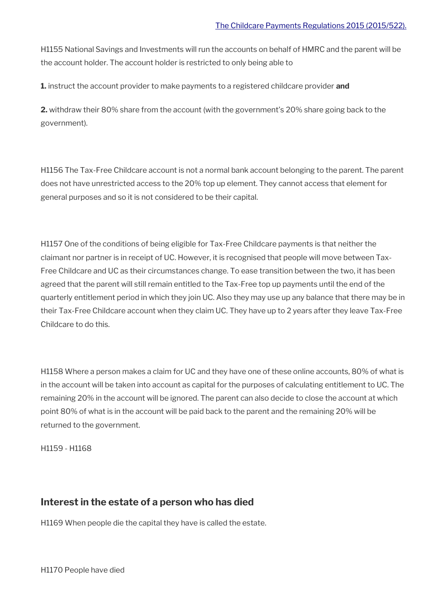H1155 National Savings and Investments will run the accounts on behalf of HMRC and the parent will be the account holder. The account holder is restricted to only being able to

**1.** instruct the account provider to make payments to a registered childcare provider **and**

**2.** withdraw their 80% share from the account (with the government's 20% share going back to the government).

H1156 The Tax-Free Childcare account is not a normal bank account belonging to the parent. The parent does not have unrestricted access to the 20% top up element. They cannot access that element for general purposes and so it is not considered to be their capital.

H1157 One of the conditions of being eligible for Tax-Free Childcare payments is that neither the claimant nor partner is in receipt of UC. However, it is recognised that people will move between Tax-Free Childcare and UC as their circumstances change. To ease transition between the two, it has been agreed that the parent will still remain entitled to the Tax-Free top up payments until the end of the quarterly entitlement period in which they join UC. Also they may use up any balance that there may be in their Tax-Free Childcare account when they claim UC. They have up to 2 years after they leave Tax-Free Childcare to do this.

H1158 Where a person makes a claim for UC and they have one of these online accounts, 80% of what is in the account will be taken into account as capital for the purposes of calculating entitlement to UC. The remaining 20% in the account will be ignored. The parent can also decide to close the account at which point 80% of what is in the account will be paid back to the parent and the remaining 20% will be returned to the government.

H1159 - H1168

### <span id="page-16-0"></span>**Interest in the estate of a person who has died**

H1169 When people die the capital they have is called the estate.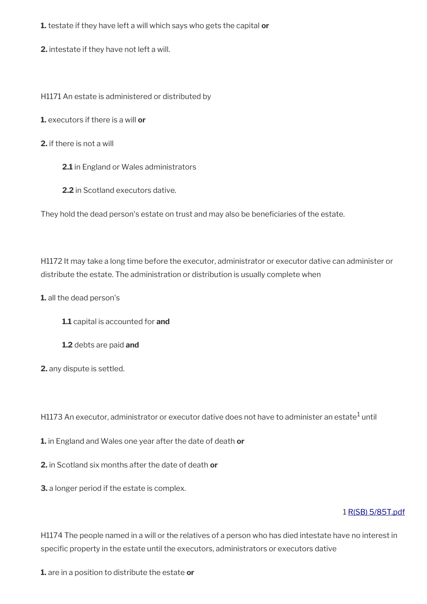**1.** testate if they have left a will which says who gets the capital **or** 

**2.** intestate if they have not left a will.

H1171 An estate is administered or distributed by

**1.** executors if there is a will **or** 

**2.** if there is not a will

**2.1** in England or Wales administrators

**2.2** in Scotland executors dative.

They hold the dead person's estate on trust and may also be beneficiaries of the estate.

H1172 It may take a long time before the executor, administrator or executor dative can administer or distribute the estate. The administration or distribution is usually complete when

**1.** all the dead person's

**1.1** capital is accounted for **and** 

**1.2** debts are paid **and**

**2.** any dispute is settled.

H1173 An executor, administrator or executor dative does not have to administer an estate $^{\rm 1}$  until

**1.** in England and Wales one year after the date of death **or** 

**2.** in Scotland six months after the date of death **or** 

**3.** a longer period if the estate is complex.

#### 1 [R\(SB\) 5/85T.pdf](../file/886239/download/R%2528SB%2529%25205%252F85T.pdf)

H1174 The people named in a will or the relatives of a person who has died intestate have no interest in specific property in the estate until the executors, administrators or executors dative

**1.** are in a position to distribute the estate **or**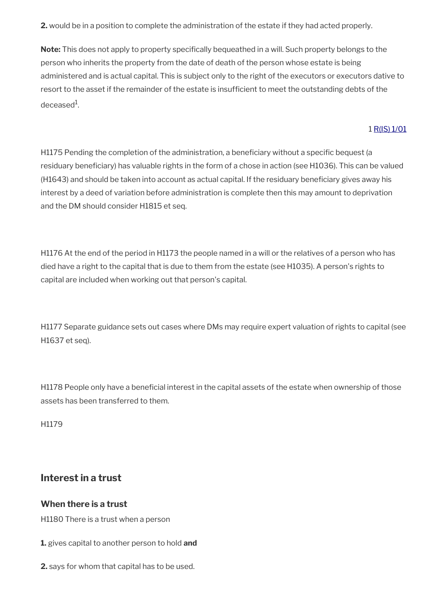**2.** would be in a position to complete the administration of the estate if they had acted properly.

**Note:** This does not apply to property specifcally bequeathed in a will. Such property belongs to the person who inherits the property from the date of death of the person whose estate is being administered and is actual capital. This is subject only to the right of the executors or executors dative to resort to the asset if the remainder of the estate is insufficient to meet the outstanding debts of the deceased<sup>1</sup>.

### 1 [R\(IS\) 1/01](http://intranet.dwp.gov.uk/manual/decision-benefit/ris-1-01)

H1175 Pending the completion of the administration, a beneficiary without a specific bequest (a residuary benefciary) has valuable rights in the form of a chose in action (see H1036). This can be valued (H1643) and should be taken into account as actual capital. If the residuary beneficiary gives away his interest by a deed of variation before administration is complete then this may amount to deprivation and the DM should consider H1815 et seq.

H1176 At the end of the period in H1173 the people named in a will or the relatives of a person who has died have a right to the capital that is due to them from the estate (see H1035). A person's rights to capital are included when working out that person's capital.

H1177 Separate guidance sets out cases where DMs may require expert valuation of rights to capital (see H1637 et seq).

H1178 People only have a beneficial interest in the capital assets of the estate when ownership of those assets has been transferred to them.

H1179

## <span id="page-18-0"></span>**Interest in a trust**

### **When there is a trust**

H1180 There is a trust when a person

**1.** gives capital to another person to hold **and** 

**2.** says for whom that capital has to be used.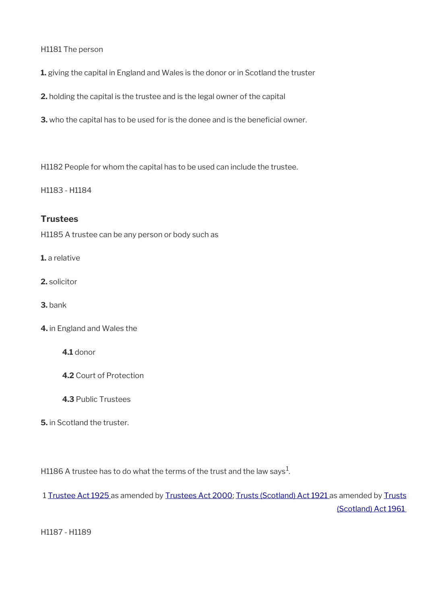H1181 The person

**1.** giving the capital in England and Wales is the donor or in Scotland the truster

**2.** holding the capital is the trustee and is the legal owner of the capital

**3.** who the capital has to be used for is the donee and is the beneficial owner.

H1182 People for whom the capital has to be used can include the trustee.

H1183 - H1184

### **Trustees**

H1185 A trustee can be any person or body such as

**1.** a relative

- **2.** solicitor
- **3.** bank
- **4.** in England and Wales the

**4.1** donor

- **4.2** Court of Protection
- **4.3** Public Trustees
- **5.** in Scotland the truster.

H1186 A trustee has to do what the terms of the trust and the law says $^{\rm 1}$ .

1 [Trustee Act 1925](http://editorial.legislation.gov.uk/ukpga/Geo5/15-16/19/contents) as amended by [Trustees Act 2000](http://editorial.legislation.gov.uk/ukpga/2000/29/contents); [Trusts \(Scotland\) Act 1921](http://editorial.legislation.gov.uk/ukpga/Geo5/11-12/58/contents) as amended by [Trusts](http://editorial.legislation.gov.uk/ukpga/Eliz2/9-10/57/contents) [\(Scotland\) Act 1961](http://editorial.legislation.gov.uk/ukpga/Eliz2/9-10/57/contents) 

H1187 - H1189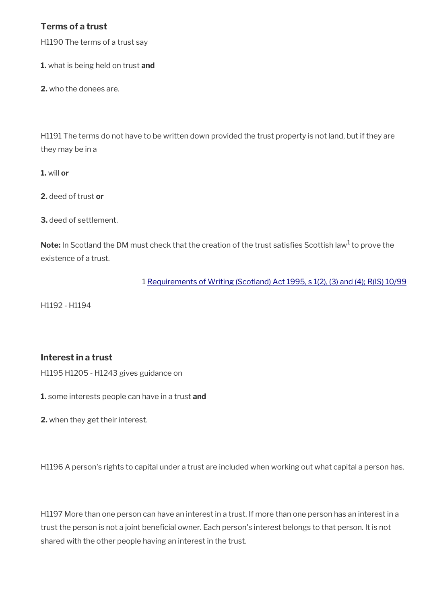### **Terms of a trust**

H1190 The terms of a trust say

**1.** what is being held on trust **and** 

**2.** who the donees are.

H1191 The terms do not have to be written down provided the trust property is not land, but if they are they may be in a

**1.** will **or** 

**2.** deed of trust **or** 

**3.** deed of settlement.

Note: In Scotland the DM must check that the creation of the trust satisfies Scottish law<sup>1</sup> to prove the existence of a trust.

1 [Requirements of Writing \(Scotland\) Act 1995, s 1\(2\), \(3\) and \(4\);](http://editorial.legislation.gov.uk/ukpga/1995/7/section/1) [R\(IS\) 10/99](http://intranet.dwp.gov.uk/manual/decision-benefit/ris-10-99)

H1192 - H1194

### **Interest in a trust**

H1195 H1205 - H1243 gives guidance on

**1.** some interests people can have in a trust **and** 

**2.** when they get their interest.

H1196 A person's rights to capital under a trust are included when working out what capital a person has.

H1197 More than one person can have an interest in a trust. If more than one person has an interest in a trust the person is not a joint beneficial owner. Each person's interest belongs to that person. It is not shared with the other people having an interest in the trust.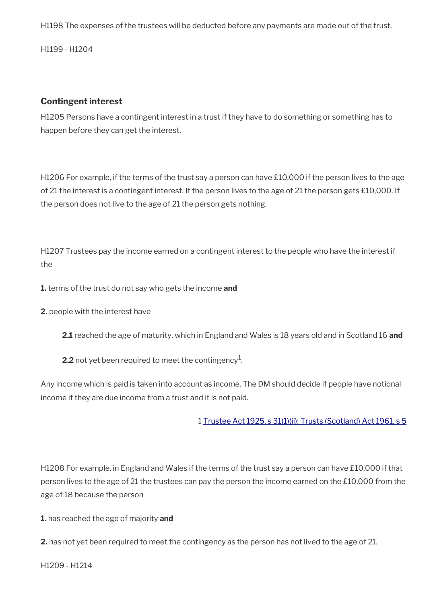H1198 The expenses of the trustees will be deducted before any payments are made out of the trust.

H1199 - H1204

### **Contingent interest**

H1205 Persons have a contingent interest in a trust if they have to do something or something has to happen before they can get the interest.

H1206 For example, if the terms of the trust say a person can have £10,000 if the person lives to the age of 21 the interest is a contingent interest. If the person lives to the age of 21 the person gets £10,000. If the person does not live to the age of 21 the person gets nothing.

H1207 Trustees pay the income earned on a contingent interest to the people who have the interest if the

**1.** terms of the trust do not say who gets the income **and** 

**2.** people with the interest have

**2.1** reached the age of maturity, which in England and Wales is 18 years old and in Scotland 16 **and**

**2.2** not yet been required to meet the contingency $^1$ .

Any income which is paid is taken into account as income. The DM should decide if people have notional income if they are due income from a trust and it is not paid.

1 [Trustee Act 1925, s 31\(1\)\(ii\);](http://editorial.legislation.gov.uk/ukpga/Geo5/15-16/19/section/31) [Trusts \(Scotland\) Act 1961, s 5](http://editorial.legislation.gov.uk/ukpga/Eliz2/9-10/57/section/5)

H1208 For example, in England and Wales if the terms of the trust say a person can have £10,000 if that person lives to the age of 21 the trustees can pay the person the income earned on the £10,000 from the age of 18 because the person

**1.** has reached the age of majority **and**

**2.** has not yet been required to meet the contingency as the person has not lived to the age of 21.

H1209 - H1214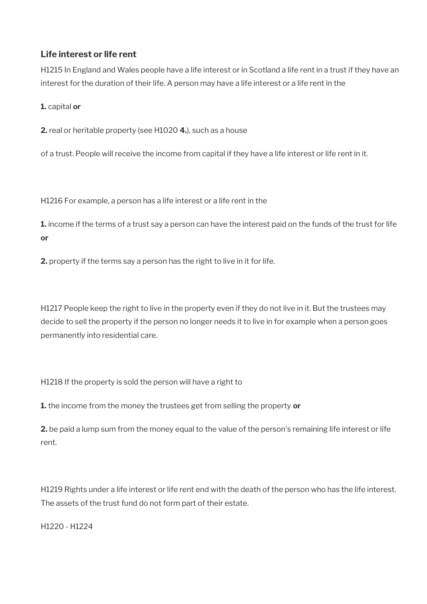### **Life interest or life rent**

H1215 In England and Wales people have a life interest or in Scotland a life rent in a trust if they have an interest for the duration of their life. A person may have a life interest or a life rent in the

### **1.** capital **or**

**2.** real or heritable property (see H1020 **4.**), such as a house

of a trust. People will receive the income from capital if they have a life interest or life rent in it.

H1216 For example, a person has a life interest or a life rent in the

**1.** income if the terms of a trust say a person can have the interest paid on the funds of the trust for life **or** 

**2.** property if the terms say a person has the right to live in it for life.

H1217 People keep the right to live in the property even if they do not live in it. But the trustees may decide to sell the property if the person no longer needs it to live in for example when a person goes permanently into residential care.

H1218 If the property is sold the person will have a right to

**1.** the income from the money the trustees get from selling the property **or** 

**2.** be paid a lump sum from the money equal to the value of the person's remaining life interest or life rent.

H1219 Rights under a life interest or life rent end with the death of the person who has the life interest. The assets of the trust fund do not form part of their estate.

H1220 - H1224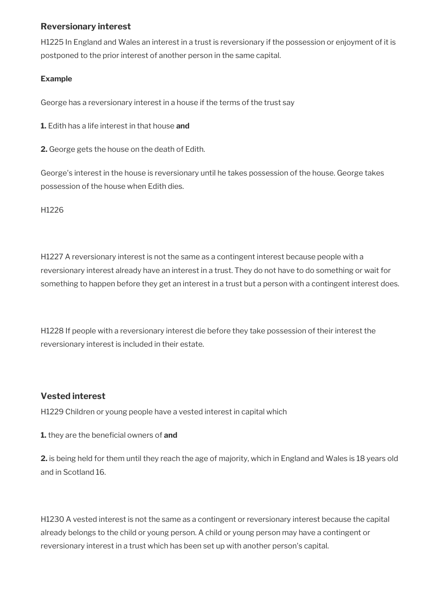### **Reversionary interest**

H1225 In England and Wales an interest in a trust is reversionary if the possession or enjoyment of it is postponed to the prior interest of another person in the same capital.

### **Example**

George has a reversionary interest in a house if the terms of the trust say

**1.** Edith has a life interest in that house **and** 

**2.** George gets the house on the death of Edith.

George's interest in the house is reversionary until he takes possession of the house. George takes possession of the house when Edith dies.

H1226

H1227 A reversionary interest is not the same as a contingent interest because people with a reversionary interest already have an interest in a trust. They do not have to do something or wait for something to happen before they get an interest in a trust but a person with a contingent interest does.

H1228 If people with a reversionary interest die before they take possession of their interest the reversionary interest is included in their estate.

### **Vested interest**

H1229 Children or young people have a vested interest in capital which

**1.** they are the beneficial owners of and

**2.** is being held for them until they reach the age of majority, which in England and Wales is 18 years old and in Scotland 16.

H1230 A vested interest is not the same as a contingent or reversionary interest because the capital already belongs to the child or young person. A child or young person may have a contingent or reversionary interest in a trust which has been set up with another person's capital.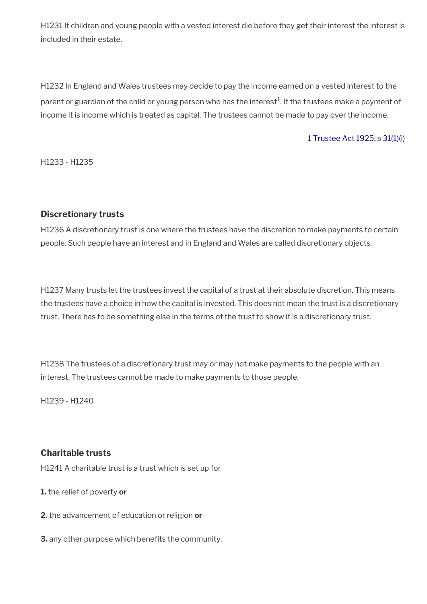H1231 If children and young people with a vested interest die before they get their interest the interest is included in their estate.

H1232 In England and Wales trustees may decide to pay the income earned on a vested interest to the parent or guardian of the child or young person who has the interest $^1$ . If the trustees make a payment of income it is income which is treated as capital. The trustees cannot be made to pay over the income.

#### 1 [Trustee Act 1925, s 31\(1\)\(i\)](http://editorial.legislation.gov.uk/ukpga/Geo5/15-16/19/section/31)

H1233 - H1235

#### **Discretionary trusts**

H1236 A discretionary trust is one where the trustees have the discretion to make payments to certain people. Such people have an interest and in England and Wales are called discretionary objects.

H1237 Many trusts let the trustees invest the capital of a trust at their absolute discretion. This means the trustees have a choice in how the capital is invested. This does not mean the trust is a discretionary trust. There has to be something else in the terms of the trust to show it is a discretionary trust.

H1238 The trustees of a discretionary trust may or may not make payments to the people with an interest. The trustees cannot be made to make payments to those people.

H1239 - H1240

### **Charitable trusts**

H1241 A charitable trust is a trust which is set up for

**1.** the relief of poverty **or** 

- **2.** the advancement of education or religion **or**
- **3.** any other purpose which benefits the community.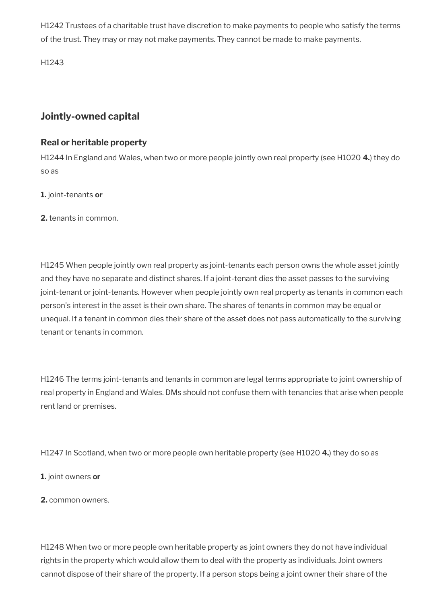H1242 Trustees of a charitable trust have discretion to make payments to people who satisfy the terms of the trust. They may or may not make payments. They cannot be made to make payments.

H1243

## <span id="page-25-0"></span>**Jointly-owned capital**

### **Real or heritable property**

H1244 In England and Wales, when two or more people jointly own real property (see H1020 **4.**) they do so as

**1.** joint-tenants **or**

**2.** tenants in common.

H1245 When people jointly own real property as joint-tenants each person owns the whole asset jointly and they have no separate and distinct shares. If a joint-tenant dies the asset passes to the surviving joint-tenant or joint-tenants. However when people jointly own real property as tenants in common each person's interest in the asset is their own share. The shares of tenants in common may be equal or unequal. If a tenant in common dies their share of the asset does not pass automatically to the surviving tenant or tenants in common.

H1246 The terms joint-tenants and tenants in common are legal terms appropriate to joint ownership of real property in England and Wales. DMs should not confuse them with tenancies that arise when people rent land or premises.

H1247 In Scotland, when two or more people own heritable property (see H1020 **4.**) they do so as

**1.** joint owners **or**

**2.** common owners.

H1248 When two or more people own heritable property as joint owners they do not have individual rights in the property which would allow them to deal with the property as individuals. Joint owners cannot dispose of their share of the property. If a person stops being a joint owner their share of the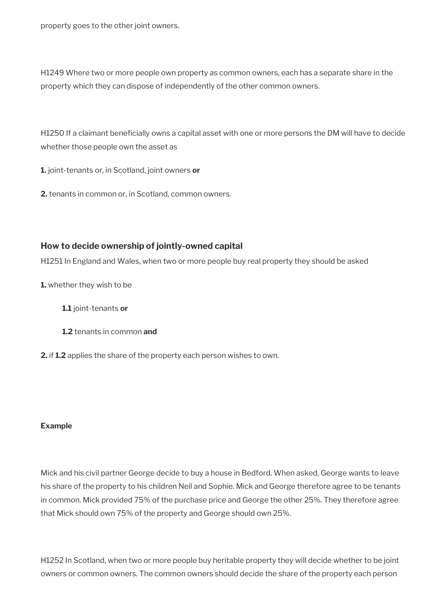property goes to the other joint owners.

H1249 Where two or more people own property as common owners, each has a separate share in the property which they can dispose of independently of the other common owners.

H1250 If a claimant beneficially owns a capital asset with one or more persons the DM will have to decide whether those people own the asset as

**1.** joint-tenants or, in Scotland, joint owners **or**

**2.** tenants in common or, in Scotland, common owners.

### **How to decide ownership of jointly-owned capital**

H1251 In England and Wales, when two or more people buy real property they should be asked

**1.** whether they wish to be

**1.1** joint-tenants **or**

- **1.2** tenants in common **and**
- **2.** if **1.2** applies the share of the property each person wishes to own.

#### **Example**

Mick and his civil partner George decide to buy a house in Bedford. When asked, George wants to leave his share of the property to his children Neil and Sophie. Mick and George therefore agree to be tenants in common. Mick provided 75% of the purchase price and George the other 25%. They therefore agree that Mick should own 75% of the property and George should own 25%.

H1252 In Scotland, when two or more people buy heritable property they will decide whether to be joint owners or common owners. The common owners should decide the share of the property each person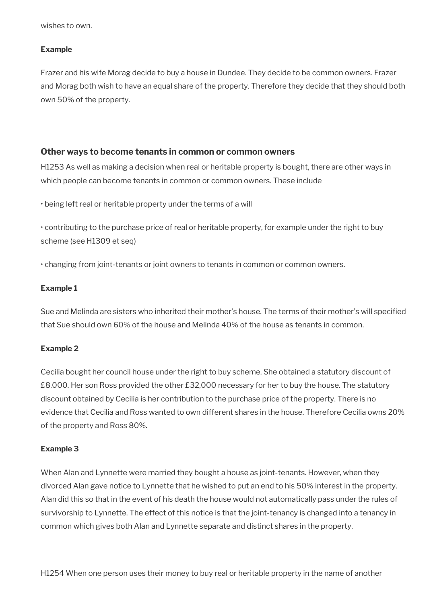wishes to own.

#### **Example**

Frazer and his wife Morag decide to buy a house in Dundee. They decide to be common owners. Frazer and Morag both wish to have an equal share of the property. Therefore they decide that they should both own 50% of the property.

#### **Other ways to become tenants in common or common owners**

H1253 As well as making a decision when real or heritable property is bought, there are other ways in which people can become tenants in common or common owners. These include

• being left real or heritable property under the terms of a will

• contributing to the purchase price of real or heritable property, for example under the right to buy scheme (see H1309 et seq)

• changing from joint-tenants or joint owners to tenants in common or common owners.

#### **Example 1**

Sue and Melinda are sisters who inherited their mother's house. The terms of their mother's will specifed that Sue should own 60% of the house and Melinda 40% of the house as tenants in common.

### **Example 2**

Cecilia bought her council house under the right to buy scheme. She obtained a statutory discount of £8,000. Her son Ross provided the other £32,000 necessary for her to buy the house. The statutory discount obtained by Cecilia is her contribution to the purchase price of the property. There is no evidence that Cecilia and Ross wanted to own different shares in the house. Therefore Cecilia owns 20% of the property and Ross 80%.

#### **Example 3**

When Alan and Lynnette were married they bought a house as joint-tenants. However, when they divorced Alan gave notice to Lynnette that he wished to put an end to his 50% interest in the property. Alan did this so that in the event of his death the house would not automatically pass under the rules of survivorship to Lynnette. The effect of this notice is that the joint-tenancy is changed into a tenancy in common which gives both Alan and Lynnette separate and distinct shares in the property.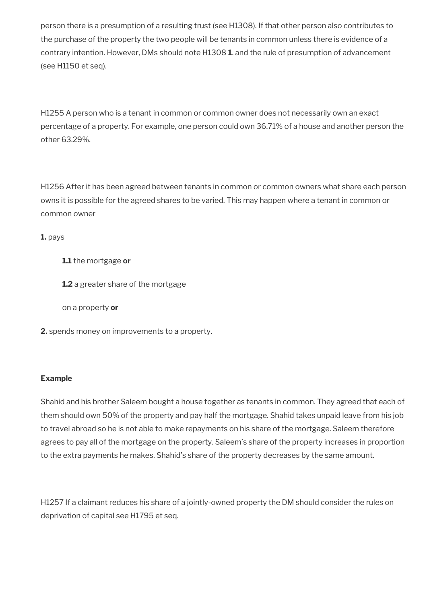person there is a presumption of a resulting trust (see H1308). If that other person also contributes to the purchase of the property the two people will be tenants in common unless there is evidence of a contrary intention. However, DMs should note H1308 **1**. and the rule of presumption of advancement (see H1150 et seq).

H1255 A person who is a tenant in common or common owner does not necessarily own an exact percentage of a property. For example, one person could own 36.71% of a house and another person the other 63.29%.

H1256 After it has been agreed between tenants in common or common owners what share each person owns it is possible for the agreed shares to be varied. This may happen where a tenant in common or common owner

**1.** pays

**1.1** the mortgage **or**

**1.2** a greater share of the mortgage

on a property **or**

**2.** spends money on improvements to a property.

#### **Example**

Shahid and his brother Saleem bought a house together as tenants in common. They agreed that each of them should own 50% of the property and pay half the mortgage. Shahid takes unpaid leave from his job to travel abroad so he is not able to make repayments on his share of the mortgage. Saleem therefore agrees to pay all of the mortgage on the property. Saleem's share of the property increases in proportion to the extra payments he makes. Shahid's share of the property decreases by the same amount.

H1257 If a claimant reduces his share of a jointly-owned property the DM should consider the rules on deprivation of capital see H1795 et seq.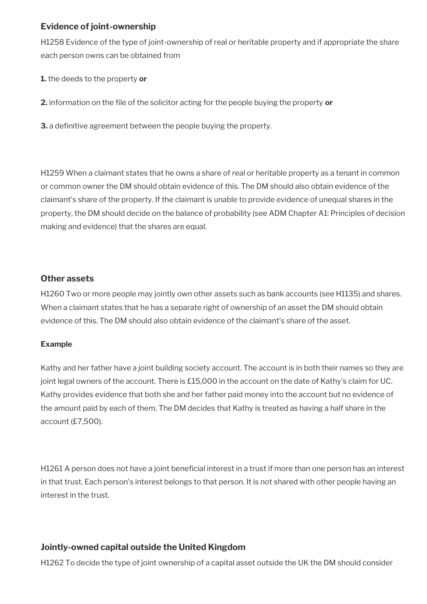### **Evidence of joint-ownership**

H1258 Evidence of the type of joint-ownership of real or heritable property and if appropriate the share each person owns can be obtained from

**1.** the deeds to the property **or**

**2.** information on the fle of the solicitor acting for the people buying the property **or**

**3.** a definitive agreement between the people buying the property.

H1259 When a claimant states that he owns a share of real or heritable property as a tenant in common or common owner the DM should obtain evidence of this. The DM should also obtain evidence of the claimant's share of the property. If the claimant is unable to provide evidence of unequal shares in the property, the DM should decide on the balance of probability (see ADM Chapter A1: Principles of decision making and evidence) that the shares are equal.

### **Other assets**

H1260 Two or more people may jointly own other assets such as bank accounts (see H1135) and shares. When a claimant states that he has a separate right of ownership of an asset the DM should obtain evidence of this. The DM should also obtain evidence of the claimant's share of the asset.

### **Example**

Kathy and her father have a joint building society account. The account is in both their names so they are joint legal owners of the account. There is £15,000 in the account on the date of Kathy's claim for UC. Kathy provides evidence that both she and her father paid money into the account but no evidence of the amount paid by each of them. The DM decides that Kathy is treated as having a half share in the account (£7,500).

H1261 A person does not have a joint beneficial interest in a trust if more than one person has an interest in that trust. Each person's interest belongs to that person. It is not shared with other people having an interest in the trust.

### **Jointly-owned capital outside the United Kingdom**

H1262 To decide the type of joint ownership of a capital asset outside the UK the DM should consider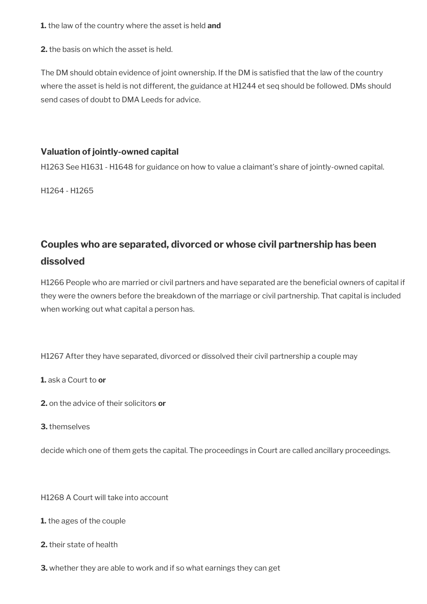**1.** the law of the country where the asset is held **and**

**2.** the basis on which the asset is held.

The DM should obtain evidence of joint ownership. If the DM is satisfed that the law of the country where the asset is held is not different, the guidance at H1244 et seq should be followed. DMs should send cases of doubt to DMA Leeds for advice.

### **Valuation of jointly-owned capital**

H1263 See H1631 - H1648 for guidance on how to value a claimant's share of jointly-owned capital.

H1264 - H1265

# <span id="page-30-0"></span>**Couples who are separated, divorced or whose civil partnership has been dissolved**

H1266 People who are married or civil partners and have separated are the beneficial owners of capital if they were the owners before the breakdown of the marriage or civil partnership. That capital is included when working out what capital a person has.

H1267 After they have separated, divorced or dissolved their civil partnership a couple may

**1.** ask a Court to **or** 

- **2.** on the advice of their solicitors **or**
- **3.** themselves

decide which one of them gets the capital. The proceedings in Court are called ancillary proceedings.

H1268 A Court will take into account

- **1.** the ages of the couple
- **2.** their state of health
- **3.** whether they are able to work and if so what earnings they can get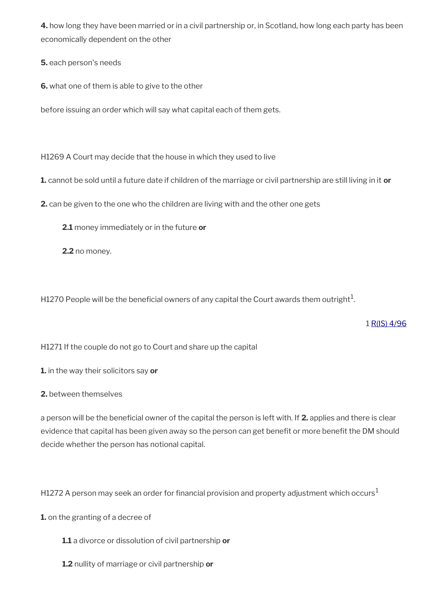**4.** how long they have been married or in a civil partnership or, in Scotland, how long each party has been economically dependent on the other

**5.** each person's needs

**6.** what one of them is able to give to the other

before issuing an order which will say what capital each of them gets.

H1269 A Court may decide that the house in which they used to live

**1.** cannot be sold until a future date if children of the marriage or civil partnership are still living in it **or** 

**2.** can be given to the one who the children are living with and the other one gets

**2.1** money immediately or in the future **or** 

**2.2** no money.

H1270 People will be the beneficial owners of any capital the Court awards them outright $^1\!$ 

### 1 [R\(IS\) 4/96](http://intranet.dwp.gov.uk/manual/decision-benefit/ris-4-96)

H1271 If the couple do not go to Court and share up the capital

**1.** in the way their solicitors say **or** 

**2.** between themselves

a person will be the beneficial owner of the capital the person is left with. If 2. applies and there is clear evidence that capital has been given away so the person can get benefit or more benefit the DM should decide whether the person has notional capital.

H1272 A person may seek an order for financial provision and property adjustment which occurs<sup>1</sup>

**1.** on the granting of a decree of

**1.1** a divorce or dissolution of civil partnership **or**

**1.2** nullity of marriage or civil partnership **or**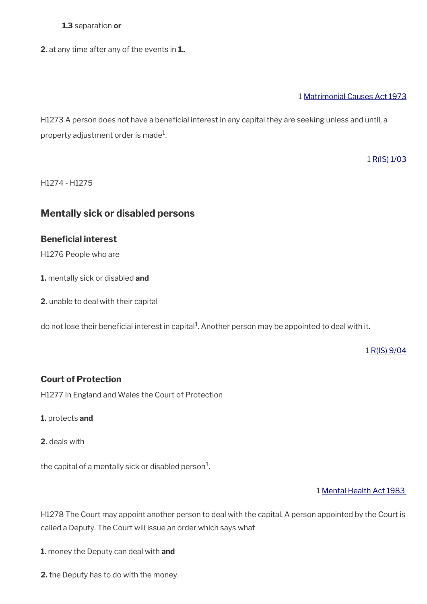#### **1.3** separation **or**

**2.** at any time after any of the events in **1.**.

#### 1 [Matrimonial Causes Act 1973](http://editorial.legislation.gov.uk/ukpga/1973/18/contents)

H1273 A person does not have a beneficial interest in any capital they are seeking unless and until, a property adjustment order is made $^1\!\!$ 

1 [R\(IS\) 1/03](http://intranet.dwp.gov.uk/manual/decision-benefit/ris-1-03)

H1274 - H1275

### <span id="page-32-0"></span>**Mentally sick or disabled persons**

### **Beneficial interest**

H1276 People who are

**1.** mentally sick or disabled **and** 

**2.** unable to deal with their capital

do not lose their beneficial interest in capital<sup>1</sup>. Another person may be appointed to deal with it.

1 [R\(IS\) 9/04](http://intranet.dwp.gov.uk/manual/decision-benefit/ris-9-04)

### **Court of Protection**

H1277 In England and Wales the Court of Protection

**1.** protects **and** 

**2.** deals with

the capital of a mentally sick or disabled person $^1\!\!$ .

1 [Mental Health Act 1983](http://editorial.legislation.gov.uk/ukpga/1983/20/contents) 

H1278 The Court may appoint another person to deal with the capital. A person appointed by the Court is called a Deputy. The Court will issue an order which says what

**1.** money the Deputy can deal with **and** 

**2.** the Deputy has to do with the money.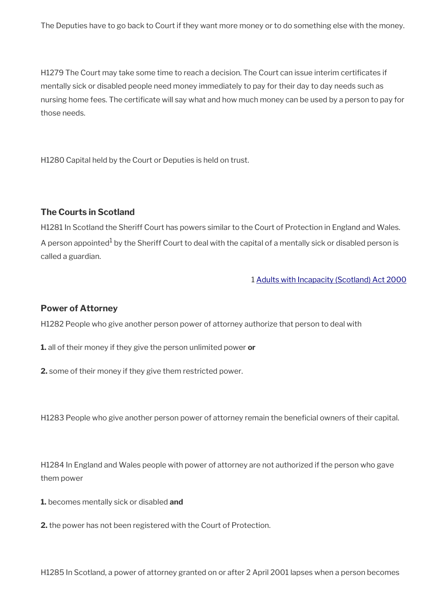The Deputies have to go back to Court if they want more money or to do something else with the money.

H1279 The Court may take some time to reach a decision. The Court can issue interim certifcates if mentally sick or disabled people need money immediately to pay for their day to day needs such as nursing home fees. The certificate will say what and how much money can be used by a person to pay for those needs.

H1280 Capital held by the Court or Deputies is held on trust.

#### **The Courts in Scotland**

H1281 In Scotland the Sheriff Court has powers similar to the Court of Protection in England and Wales. A person appointed $^{\text{1}}$  by the Sheriff Court to deal with the capital of a mentally sick or disabled person is called a guardian.

1 [Adults with Incapacity \(Scotland\) Act 2000](https://editorial.legislation.gov.uk/asp/2000/4/contents)

#### **Power of Attorney**

H1282 People who give another person power of attorney authorize that person to deal with

**1.** all of their money if they give the person unlimited power **or** 

**2.** some of their money if they give them restricted power.

H1283 People who give another person power of attorney remain the beneficial owners of their capital.

H1284 In England and Wales people with power of attorney are not authorized if the person who gave them power

**1.** becomes mentally sick or disabled **and** 

**2.** the power has not been registered with the Court of Protection.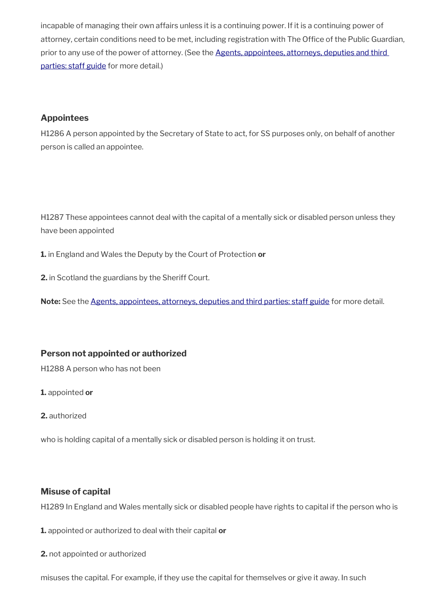incapable of managing their own affairs unless it is a continuing power. If it is a continuing power of attorney, certain conditions need to be met, including registration with The Office of the Public Guardian, prior to any use of the power of attorney. (See the Agents, appointees, attorneys, deputies and third [parties: staff guide](https://www.gov.uk/government/publications/procedures-for-dealing-with-agents-appointees-attorneys-deputies-and-third-parties) for more detail.)

### **Appointees**

H1286 A person appointed by the Secretary of State to act, for SS purposes only, on behalf of another person is called an appointee.

H1287 These appointees cannot deal with the capital of a mentally sick or disabled person unless they have been appointed

**1.** in England and Wales the Deputy by the Court of Protection **or** 

**2.** in Scotland the guardians by the Sheriff Court.

**Note:** See the [Agents, appointees, attorneys, deputies and third parties: staff guide](https://www.gov.uk/government/publications/procedures-for-dealing-with-agents-appointees-attorneys-deputies-and-third-parties) for more detail.

### **Person not appointed or authorized**

H1288 A person who has not been

**1.** appointed **or**

**2.** authorized

who is holding capital of a mentally sick or disabled person is holding it on trust.

### **Misuse of capital**

H1289 In England and Wales mentally sick or disabled people have rights to capital if the person who is

**1.** appointed or authorized to deal with their capital **or** 

**2.** not appointed or authorized

misuses the capital. For example, if they use the capital for themselves or give it away. In such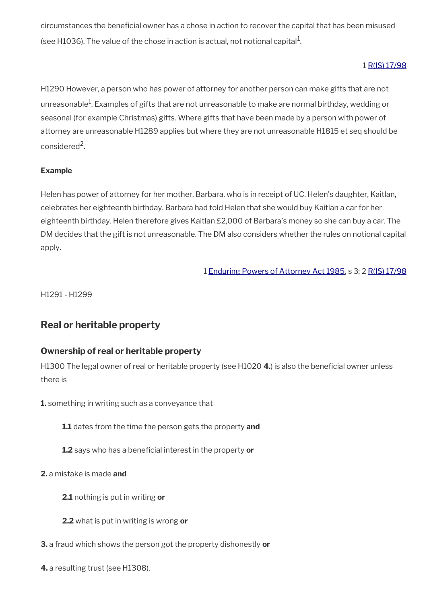circumstances the benefcial owner has a chose in action to recover the capital that has been misused (see H1036). The value of the chose in action is actual, not notional capital $^{\rm 1}$ .

### 1 [R\(IS\) 17/98](http://intranet.dwp.gov.uk/manual/decision-benefit/ris-17-98)

H1290 However, a person who has power of attorney for another person can make gifts that are not unreasonable $^1$ . Examples of gifts that are not unreasonable to make are normal birthday, wedding or seasonal (for example Christmas) gifts. Where gifts that have been made by a person with power of attorney are unreasonable H1289 applies but where they are not unreasonable H1815 et seq should be considered<sup>2</sup>.

### **Example**

Helen has power of attorney for her mother, Barbara, who is in receipt of UC. Helen's daughter, Kaitlan, celebrates her eighteenth birthday. Barbara had told Helen that she would buy Kaitlan a car for her eighteenth birthday. Helen therefore gives Kaitlan £2,000 of Barbara's money so she can buy a car. The DM decides that the gift is not unreasonable. The DM also considers whether the rules on notional capital apply.

1 [Enduring Powers of Attorney Act 1985](http://editorial.legislation.gov.uk/ukpga/1985/29/contents), s 3; 2 [R\(IS\) 17/98](http://intranet.dwp.gov.uk/manual/decision-benefit/ris-17-98)

H1291 - H1299

# <span id="page-35-0"></span>**Real or heritable property**

### **Ownership of real or heritable property**

H1300 The legal owner of real or heritable property (see H1020 **4.**) is also the benefcial owner unless there is

**1.** something in writing such as a conveyance that

- **1.1** dates from the time the person gets the property **and**
- **1.2** says who has a beneficial interest in the property or
- **2.** a mistake is made **and**
	- **2.1** nothing is put in writing **or**
	- **2.2** what is put in writing is wrong **or**
- **3.** a fraud which shows the person got the property dishonestly **or**
- **4.** a resulting trust (see H1308).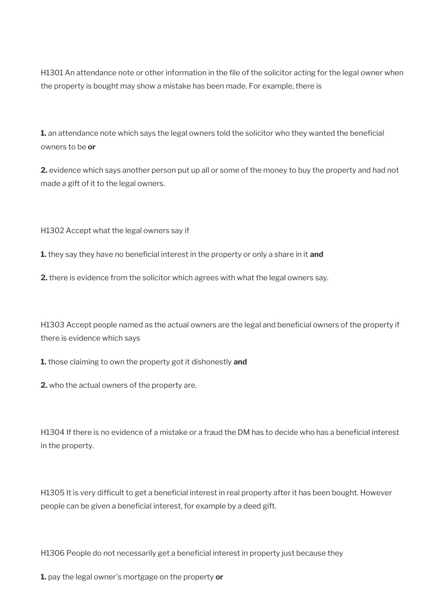H1301 An attendance note or other information in the file of the solicitor acting for the legal owner when the property is bought may show a mistake has been made. For example, there is

1. an attendance note which says the legal owners told the solicitor who they wanted the beneficial owners to be **or** 

**2.** evidence which says another person put up all or some of the money to buy the property and had not made a gift of it to the legal owners.

H1302 Accept what the legal owners say if

**1.** they say they have no beneficial interest in the property or only a share in it and

**2.** there is evidence from the solicitor which agrees with what the legal owners say.

H1303 Accept people named as the actual owners are the legal and beneficial owners of the property if there is evidence which says

**1.** those claiming to own the property got it dishonestly **and** 

**2.** who the actual owners of the property are.

H1304 If there is no evidence of a mistake or a fraud the DM has to decide who has a benefcial interest in the property.

H1305 It is very difficult to get a beneficial interest in real property after it has been bought. However people can be given a beneficial interest, for example by a deed gift.

H1306 People do not necessarily get a beneficial interest in property just because they

**1.** pay the legal owner's mortgage on the property **or**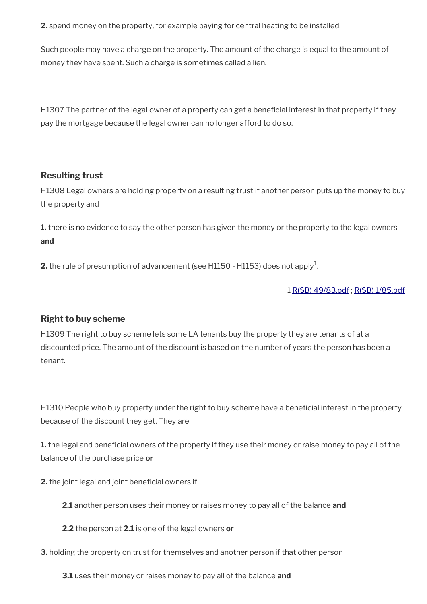**2.** spend money on the property, for example paying for central heating to be installed.

Such people may have a charge on the property. The amount of the charge is equal to the amount of money they have spent. Such a charge is sometimes called a lien.

H1307 The partner of the legal owner of a property can get a benefcial interest in that property if they pay the mortgage because the legal owner can no longer afford to do so.

### **Resulting trust**

H1308 Legal owners are holding property on a resulting trust if another person puts up the money to buy the property and

**1.** there is no evidence to say the other person has given the money or the property to the legal owners **and**

**2.** the rule of presumption of advancement (see H1150 - H1153) does not apply<sup>1</sup>.

### 1 [R\(SB\) 49/83.pdf](../file/886276/download/R%2528SB%2529%252049%252F83.pdf) ; [R\(SB\) 1/85.pdf](../file/886278/download/R%2528SB%2529%25201%252F85.pdf)

### **Right to buy scheme**

H1309 The right to buy scheme lets some LA tenants buy the property they are tenants of at a discounted price. The amount of the discount is based on the number of years the person has been a tenant.

H1310 People who buy property under the right to buy scheme have a beneficial interest in the property because of the discount they get. They are

**1.** the legal and beneficial owners of the property if they use their money or raise money to pay all of the balance of the purchase price **or** 

**2.** the joint legal and joint beneficial owners if

**2.1** another person uses their money or raises money to pay all of the balance **and** 

**2.2** the person at **2.1** is one of the legal owners **or** 

**3.** holding the property on trust for themselves and another person if that other person

**3.1** uses their money or raises money to pay all of the balance **and**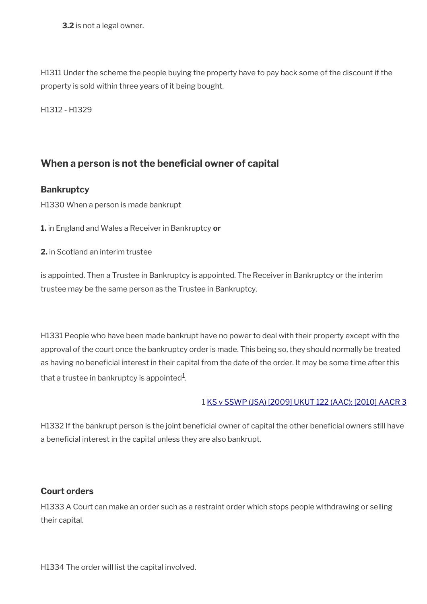**3.2** is not a legal owner.

H1311 Under the scheme the people buying the property have to pay back some of the discount if the property is sold within three years of it being bought.

H1312 - H1329

# **When a person is not the beneficial owner of capital**

### **Bankruptcy**

H1330 When a person is made bankrupt

**1.** in England and Wales a Receiver in Bankruptcy **or** 

**2.** in Scotland an interim trustee

is appointed. Then a Trustee in Bankruptcy is appointed. The Receiver in Bankruptcy or the interim trustee may be the same person as the Trustee in Bankruptcy.

H1331 People who have been made bankrupt have no power to deal with their property except with the approval of the court once the bankruptcy order is made. This being so, they should normally be treated as having no beneficial interest in their capital from the date of the order. It may be some time after this that a trustee in bankruptcy is appointed $^{\rm 1}$ .

### 1 [KS v SSWP \(JSA\) \[2009\] UKUT 122 \(AAC\); \[2010\] AACR 3](http://administrativeappeals.decisions.tribunals.gov.uk/Aspx/view.aspx?id=2726)

H1332 If the bankrupt person is the joint beneficial owner of capital the other beneficial owners still have a beneficial interest in the capital unless they are also bankrupt.

## **Court orders**

H1333 A Court can make an order such as a restraint order which stops people withdrawing or selling their capital.

H1334 The order will list the capital involved.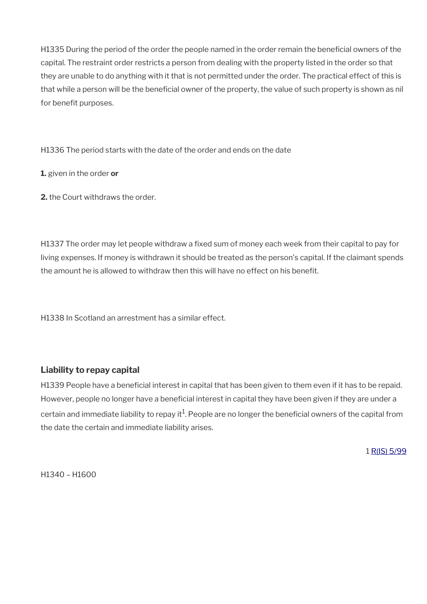H1335 During the period of the order the people named in the order remain the beneficial owners of the capital. The restraint order restricts a person from dealing with the property listed in the order so that they are unable to do anything with it that is not permitted under the order. The practical effect of this is that while a person will be the beneficial owner of the property, the value of such property is shown as nil for benefit purposes.

H1336 The period starts with the date of the order and ends on the date

**1.** given in the order **or** 

**2.** the Court withdraws the order.

H1337 The order may let people withdraw a fixed sum of money each week from their capital to pay for living expenses. If money is withdrawn it should be treated as the person's capital. If the claimant spends the amount he is allowed to withdraw then this will have no effect on his beneft.

H1338 In Scotland an arrestment has a similar effect.

## **Liability to repay capital**

H1339 People have a beneficial interest in capital that has been given to them even if it has to be repaid. However, people no longer have a beneficial interest in capital they have been given if they are under a certain and immediate liability to repay it $^1$ . People are no longer the beneficial owners of the capital from the date the certain and immediate liability arises.

1 [R\(IS\) 5/99](http://intranet.dwp.gov.uk/manual/decision-benefit/ris-5-99)

H1340 – H1600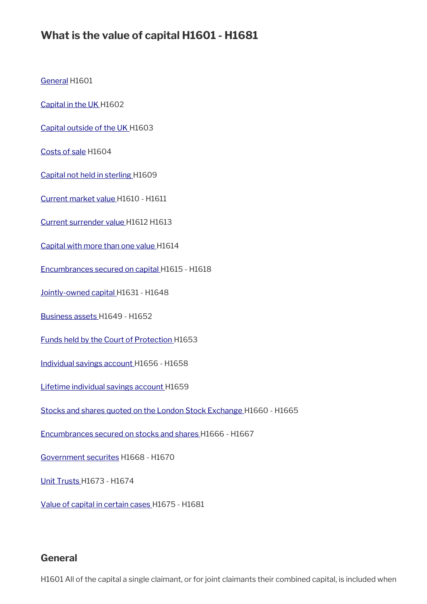# **What is the value of capital H1601 - H1681**

[General](#page-5-0) H1601

[Capital in the UK H](#page-41-2)1602

[Capital outside of the UK](#page-41-1) H1603

[Costs of sale](#page-41-0) H1604

[Capital not held in sterling H](#page-42-1)1609

[Current market value](#page-42-0) H1610 - H1611

[Current surrender value H](#page-43-2)1612 H1613

[Capital with more than one value](#page-43-1) H1614

[Encumbrances secured on capital H](#page-43-0)1615 - H1618

[Jointly-owned capital](#page-25-0) H1631 - H1648

[Business assets H](#page-51-0)1649 - H1652

[Funds held by the Court of Protection H](#page-52-1)1653

[Individual savings account](#page-52-0) H1656 - H1658

[Lifetime individual savings account](#page-53-1) H1659

[Stocks and shares quoted on the London Stock Exchange H](#page-53-0)1660 - H1665

[Encumbrances secured on stocks and shares](#page-55-0) H1666 - H1667

[Government securites](#page-43-0) H1668 - H1670

[Unit Trusts](#page-56-1) H1673 - H1674

[Value of capital in certain cases](#page-56-0) H1675 - H1681

### **General**

H1601 All of the capital a single claimant, or for joint claimants their combined capital, is included when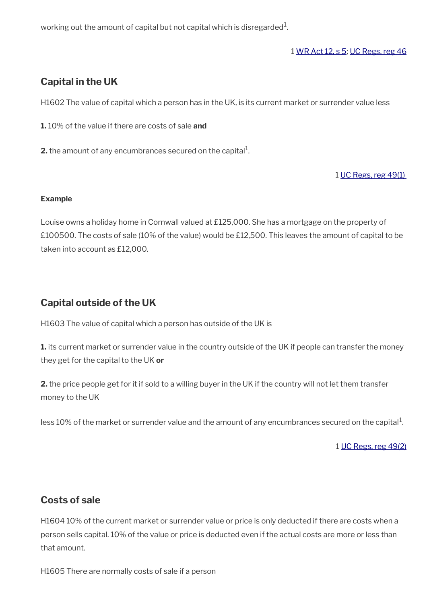working out the amount of capital but not capital which is disregarded $^1\!\!$  .

#### 1 [WR Act 12, s 5](http://www.legislation.gov.uk/ukpga/2012/5/section/5); [UC Regs, reg 46](http://www.legislation.gov.uk/uksi/2013/376/regulation/46)

# <span id="page-41-2"></span>**Capital in the UK**

H1602 The value of capital which a person has in the UK, is its current market or surrender value less

**1.** 10% of the value if there are costs of sale **and** 

**2.** the amount of any encumbrances secured on the capital $^1$ .

#### 1 [UC Regs, reg 49\(1\)](http://www.legislation.gov.uk/uksi/2013/376/regulation/49)

#### **Example**

Louise owns a holiday home in Cornwall valued at £125,000. She has a mortgage on the property of £100500. The costs of sale (10% of the value) would be £12,500. This leaves the amount of capital to be taken into account as £12,000.

# <span id="page-41-1"></span>**Capital outside of the UK**

H1603 The value of capital which a person has outside of the UK is

**1.** its current market or surrender value in the country outside of the UK if people can transfer the money they get for the capital to the UK **or**

**2.** the price people get for it if sold to a willing buyer in the UK if the country will not let them transfer money to the UK

less  $10\%$  of the market or surrender value and the amount of any encumbrances secured on the capital $^1$ .

1 [UC Regs, reg 49\(2\)](http://www.legislation.gov.uk/uksi/2013/376/regulation/49)

# <span id="page-41-0"></span>**Costs of sale**

H1604 10% of the current market or surrender value or price is only deducted if there are costs when a person sells capital. 10% of the value or price is deducted even if the actual costs are more or less than that amount.

H1605 There are normally costs of sale if a person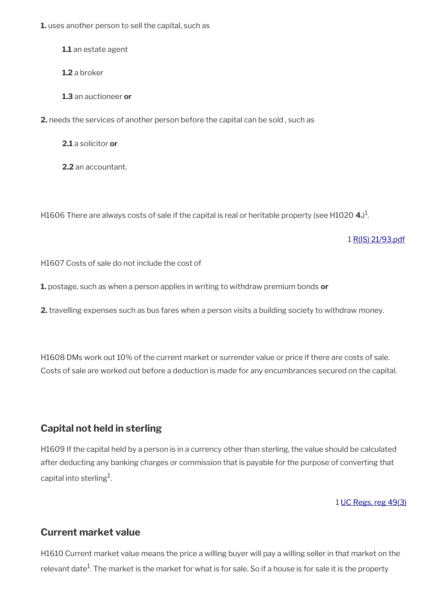**1.** uses another person to sell the capital, such as

**1.1** an estate agent

**1.2** a broker

**1.3** an auctioneer **or**

**2.** needs the services of another person before the capital can be sold , such as

**2.1** a solicitor **or**

**2.2** an accountant.

H1606 There are always costs of sale if the capital is real or heritable property (see H1020 **4.**) 1 .

1 [R\(IS\) 21/93.pdf](../file/886968/download/R%2528IS%2529%252021%252F93.pdf)

H1607 Costs of sale do not include the cost of

**1.** postage, such as when a person applies in writing to withdraw premium bonds **or**

**2.** travelling expenses such as bus fares when a person visits a building society to withdraw money.

H1608 DMs work out 10% of the current market or surrender value or price if there are costs of sale. Costs of sale are worked out before a deduction is made for any encumbrances secured on the capital.

# <span id="page-42-1"></span>**Capital not held in sterling**

H1609 If the capital held by a person is in a currency other than sterling, the value should be calculated after deducting any banking charges or commission that is payable for the purpose of converting that capital into sterling $^{\rm 1}$ .

1 [UC Regs, reg 49\(3\)](http://www.legislation.gov.uk/uksi/2013/376/regulation/49)

# <span id="page-42-0"></span>**Current market value**

H1610 Current market value means the price a willing buyer will pay a willing seller in that market on the relevant date $^1$ . The market is the market for what is for sale. So if a house is for sale it is the property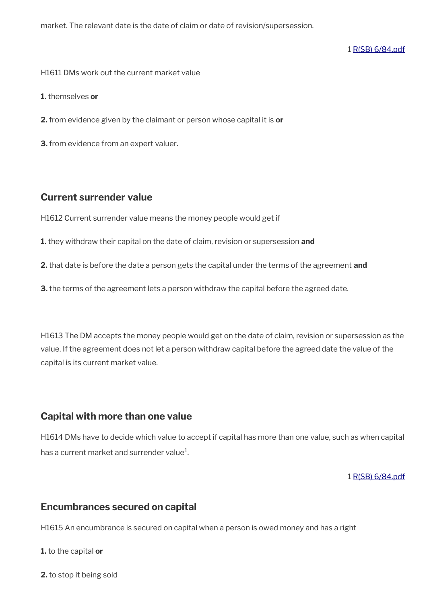market. The relevant date is the date of claim or date of revision/supersession.

1 [R\(SB\) 6/84.pdf](../file/886973/download/R%2528SB%2529%25206%252F84.pdf)

H1611 DMs work out the current market value

**1.** themselves **or**

**2.** from evidence given by the claimant or person whose capital it is **or**

**3.** from evidence from an expert valuer.

## <span id="page-43-2"></span>**Current surrender value**

H1612 Current surrender value means the money people would get if

**1.** they withdraw their capital on the date of claim, revision or supersession **and**

**2.** that date is before the date a person gets the capital under the terms of the agreement **and**

**3.** the terms of the agreement lets a person withdraw the capital before the agreed date.

H1613 The DM accepts the money people would get on the date of claim, revision or supersession as the value. If the agreement does not let a person withdraw capital before the agreed date the value of the capital is its current market value.

## <span id="page-43-1"></span>**Capital with more than one value**

H1614 DMs have to decide which value to accept if capital has more than one value, such as when capital has a current market and surrender value $^{\rm 1}$ .

1 [R\(SB\) 6/84.pdf](../file/886979/download/R%2528SB%2529%25206%252F84.pdf)

## <span id="page-43-0"></span>**Encumbrances secured on capital**

H1615 An encumbrance is secured on capital when a person is owed money and has a right

**1.** to the capital **or**

**2.** to stop it being sold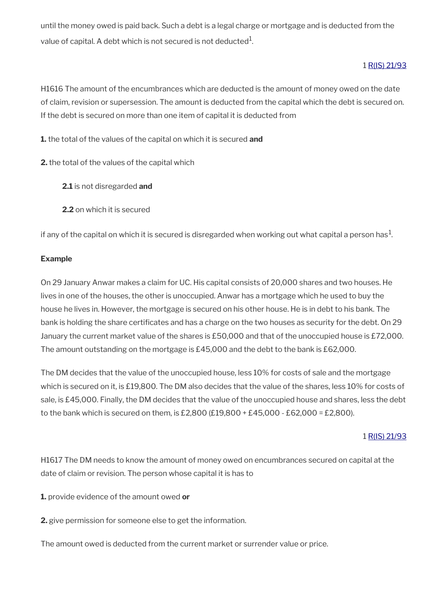until the money owed is paid back. Such a debt is a legal charge or mortgage and is deducted from the value of capital. A debt which is not secured is not deducted $^1\!\!$ 

## 1 [R\(IS\) 21/93](http://intranet.dwp.gov.uk/manual/decision-benefit/ris-21-93)

H1616 The amount of the encumbrances which are deducted is the amount of money owed on the date of claim, revision or supersession. The amount is deducted from the capital which the debt is secured on. If the debt is secured on more than one item of capital it is deducted from

**1.** the total of the values of the capital on which it is secured **and**

**2.** the total of the values of the capital which

- **2.1** is not disregarded **and**
- **2.2** on which it is secured

if any of the capital on which it is secured is disregarded when working out what capital a person has $^1\!$ 

### **Example**

On 29 January Anwar makes a claim for UC. His capital consists of 20,000 shares and two houses. He lives in one of the houses, the other is unoccupied. Anwar has a mortgage which he used to buy the house he lives in. However, the mortgage is secured on his other house. He is in debt to his bank. The bank is holding the share certifcates and has a charge on the two houses as security for the debt. On 29 January the current market value of the shares is £50,000 and that of the unoccupied house is £72,000. The amount outstanding on the mortgage is £45,000 and the debt to the bank is £62,000.

The DM decides that the value of the unoccupied house, less 10% for costs of sale and the mortgage which is secured on it, is £19,800. The DM also decides that the value of the shares, less 10% for costs of sale, is £45,000. Finally, the DM decides that the value of the unoccupied house and shares, less the debt to the bank which is secured on them, is £2,800 (£19,800 + £45,000 - £62,000 = £2,800).

### 1 [R\(IS\) 21/93](http://intranet.dwp.gov.uk/manual/decision-benefit/ris-21-93)

H1617 The DM needs to know the amount of money owed on encumbrances secured on capital at the date of claim or revision. The person whose capital it is has to

**1.** provide evidence of the amount owed **or**

**2.** give permission for someone else to get the information.

The amount owed is deducted from the current market or surrender value or price.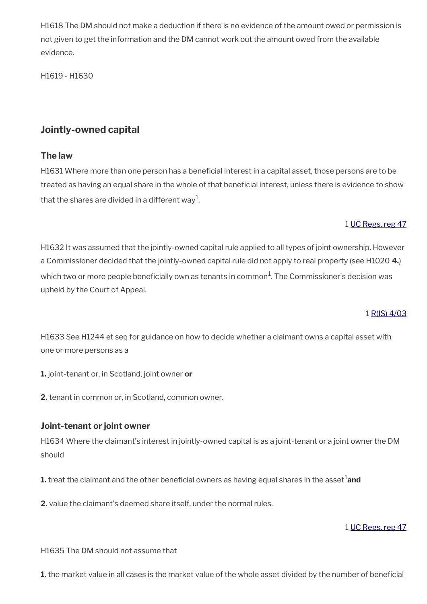H1618 The DM should not make a deduction if there is no evidence of the amount owed or permission is not given to get the information and the DM cannot work out the amount owed from the available evidence.

H1619 - H1630

# **Jointly-owned capital**

# **The law**

H1631 Where more than one person has a beneficial interest in a capital asset, those persons are to be treated as having an equal share in the whole of that beneficial interest, unless there is evidence to show that the shares are divided in a different way $^{\rm 1}$ .

# 1 [UC Regs, reg 47](http://www.legislation.gov.uk/uksi/2013/376/regulation/47)

H1632 It was assumed that the jointly-owned capital rule applied to all types of joint ownership. However a Commissioner decided that the jointly-owned capital rule did not apply to real property (see H1020 **4.**) which two or more people beneficially own as tenants in common $^1\!$ . The Commissioner's decision was upheld by the Court of Appeal.

### 1 [R\(IS\) 4/03](http://intranet.dwp.gov.uk/manual/decision-benefit/ris-4-03)

H1633 See H1244 et seq for guidance on how to decide whether a claimant owns a capital asset with one or more persons as a

**1.** joint-tenant or, in Scotland, joint owner **or**

**2.** tenant in common or, in Scotland, common owner.

## **Joint-tenant or joint owner**

H1634 Where the claimant's interest in jointly-owned capital is as a joint-tenant or a joint owner the DM should

**1.** treat the claimant and the other beneficial owners as having equal shares in the asset<sup>1</sup> and

**2.** value the claimant's deemed share itself, under the normal rules.

### 1 [UC Regs, reg 47](http://www.legislation.gov.uk/uksi/2013/376/regulation/47)

H1635 The DM should not assume that

**1.** the market value in all cases is the market value of the whole asset divided by the number of beneficial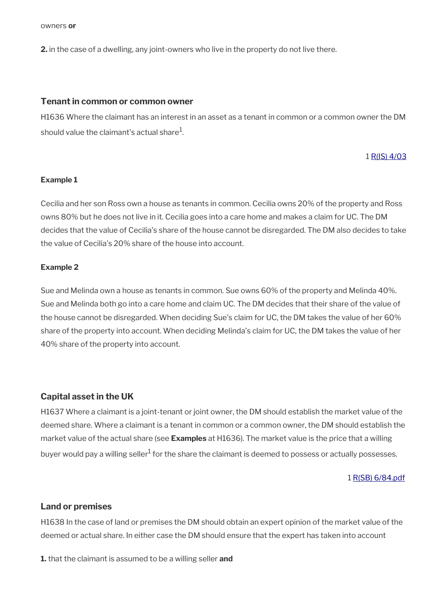owners **or**

**2.** in the case of a dwelling, any joint-owners who live in the property do not live there.

#### **Tenant in common or common owner**

H1636 Where the claimant has an interest in an asset as a tenant in common or a common owner the DM should value the claimant's actual share $^{\rm 1}$ .

#### 1 [R\(IS\) 4/03](http://intranet.dwp.gov.uk/manual/decision-benefit/ris-4-03)

#### **Example 1**

Cecilia and her son Ross own a house as tenants in common. Cecilia owns 20% of the property and Ross owns 80% but he does not live in it. Cecilia goes into a care home and makes a claim for UC. The DM decides that the value of Cecilia's share of the house cannot be disregarded. The DM also decides to take the value of Cecilia's 20% share of the house into account.

#### **Example 2**

Sue and Melinda own a house as tenants in common. Sue owns 60% of the property and Melinda 40%. Sue and Melinda both go into a care home and claim UC. The DM decides that their share of the value of the house cannot be disregarded. When deciding Sue's claim for UC, the DM takes the value of her 60% share of the property into account. When deciding Melinda's claim for UC, the DM takes the value of her 40% share of the property into account.

#### **Capital asset in the UK**

H1637 Where a claimant is a joint-tenant or joint owner, the DM should establish the market value of the deemed share. Where a claimant is a tenant in common or a common owner, the DM should establish the market value of the actual share (see **Examples** at H1636). The market value is the price that a willing buyer would pay a willing seller $^1$  for the share the claimant is deemed to possess or actually possesses.

#### 1 [R\(SB\) 6/84.pdf](../file/886983/download/R%2528SB%2529%25206%252F84.pdf)

#### **Land or premises**

H1638 In the case of land or premises the DM should obtain an expert opinion of the market value of the deemed or actual share. In either case the DM should ensure that the expert has taken into account

**1.** that the claimant is assumed to be a willing seller **and**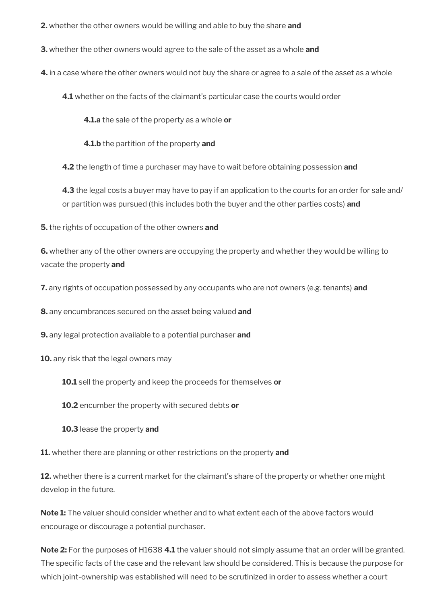**2.** whether the other owners would be willing and able to buy the share **and**

**3.** whether the other owners would agree to the sale of the asset as a whole **and**

**4.** in a case where the other owners would not buy the share or agree to a sale of the asset as a whole

**4.1** whether on the facts of the claimant's particular case the courts would order

**4.1.a** the sale of the property as a whole **or**

**4.1.b** the partition of the property **and**

**4.2** the length of time a purchaser may have to wait before obtaining possession **and**

**4.3** the legal costs a buyer may have to pay if an application to the courts for an order for sale and/ or partition was pursued (this includes both the buyer and the other parties costs) **and**

**5.** the rights of occupation of the other owners **and**

**6.** whether any of the other owners are occupying the property and whether they would be willing to vacate the property **and**

**7.** any rights of occupation possessed by any occupants who are not owners (e.g. tenants) **and**

**8.** any encumbrances secured on the asset being valued **and**

**9.** any legal protection available to a potential purchaser **and**

**10.** any risk that the legal owners may

**10.1** sell the property and keep the proceeds for themselves **or**

**10.2** encumber the property with secured debts **or**

**10.3** lease the property **and**

**11.** whether there are planning or other restrictions on the property **and**

**12.** whether there is a current market for the claimant's share of the property or whether one might develop in the future.

**Note 1:** The valuer should consider whether and to what extent each of the above factors would encourage or discourage a potential purchaser.

**Note 2:** For the purposes of H1638 **4.1** the valuer should not simply assume that an order will be granted. The specifc facts of the case and the relevant law should be considered. This is because the purpose for which joint-ownership was established will need to be scrutinized in order to assess whether a court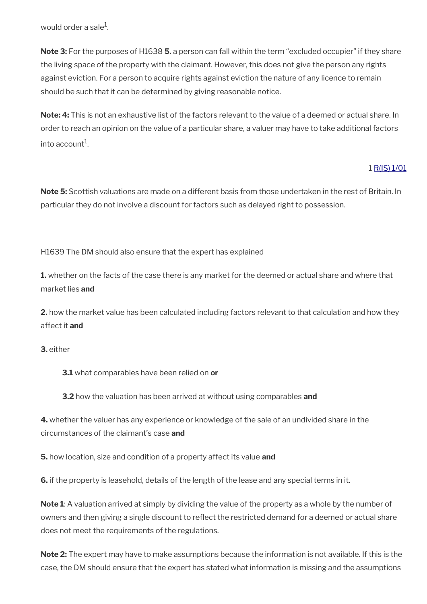would order a sale $^{\rm 1}$ .

**Note 3:** For the purposes of H1638 **5.** a person can fall within the term "excluded occupier" if they share the living space of the property with the claimant. However, this does not give the person any rights against eviction. For a person to acquire rights against eviction the nature of any licence to remain should be such that it can be determined by giving reasonable notice.

**Note: 4:** This is not an exhaustive list of the factors relevant to the value of a deemed or actual share. In order to reach an opinion on the value of a particular share, a valuer may have to take additional factors into account $^1$ .

### 1 [R\(IS\) 1/01](http://intranet.dwp.gov.uk/manual/decision-benefit/ris-1-01)

**Note 5:** Scottish valuations are made on a different basis from those undertaken in the rest of Britain. In particular they do not involve a discount for factors such as delayed right to possession.

H1639 The DM should also ensure that the expert has explained

**1.** whether on the facts of the case there is any market for the deemed or actual share and where that market lies **and**

**2.** how the market value has been calculated including factors relevant to that calculation and how they affect it **and**

**3.** either

**3.1** what comparables have been relied on **or** 

**3.2** how the valuation has been arrived at without using comparables **and**

**4.** whether the valuer has any experience or knowledge of the sale of an undivided share in the circumstances of the claimant's case **and**

**5.** how location, size and condition of a property affect its value **and**

**6.** if the property is leasehold, details of the length of the lease and any special terms in it.

**Note 1**: A valuation arrived at simply by dividing the value of the property as a whole by the number of owners and then giving a single discount to refect the restricted demand for a deemed or actual share does not meet the requirements of the regulations.

**Note 2:** The expert may have to make assumptions because the information is not available. If this is the case, the DM should ensure that the expert has stated what information is missing and the assumptions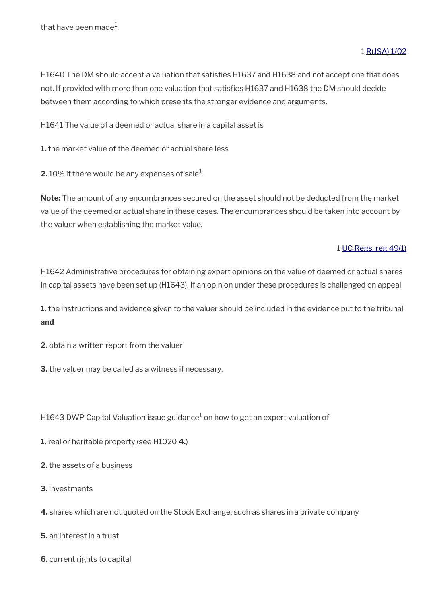#### 1 [R\(JSA\) 1/02](http://intranet.dwp.gov.uk/manual/decision-benefit/rjsa-1-02)

H1640 The DM should accept a valuation that satisfes H1637 and H1638 and not accept one that does not. If provided with more than one valuation that satisfes H1637 and H1638 the DM should decide between them according to which presents the stronger evidence and arguments.

H1641 The value of a deemed or actual share in a capital asset is

**1.** the market value of the deemed or actual share less

**2.** 10% if there would be any expenses of sale $^1$ .

**Note:** The amount of any encumbrances secured on the asset should not be deducted from the market value of the deemed or actual share in these cases. The encumbrances should be taken into account by the valuer when establishing the market value.

#### 1 [UC Regs, reg 49\(1\)](http://www.legislation.gov.uk/uksi/2013/376/regulation/49)

H1642 Administrative procedures for obtaining expert opinions on the value of deemed or actual shares in capital assets have been set up (H1643). If an opinion under these procedures is challenged on appeal

**1.** the instructions and evidence given to the valuer should be included in the evidence put to the tribunal **and**

**2.** obtain a written report from the valuer

**3.** the valuer may be called as a witness if necessary.

H1643 DWP Capital Valuation issue guidance $^1$  on how to get an expert valuation of

**1.** real or heritable property (see H1020 **4.**)

**2.** the assets of a business

**3.** investments

**4.** shares which are not quoted on the Stock Exchange, such as shares in a private company

**5.** an interest in a trust

**6.** current rights to capital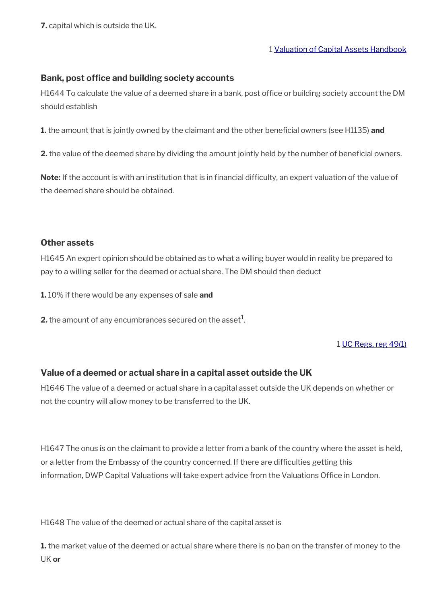**7.** capital which is outside the UK.

1 [Valuation of Capital Assets Handbook](http://intranet.dwp.gov.uk/section/operational-instructions/valuation-capital-assets-handbook)

### **Bank, post office and building society accounts**

H1644 To calculate the value of a deemed share in a bank, post office or building society account the DM should establish

**1.** the amount that is jointly owned by the claimant and the other beneficial owners (see H1135) and

**2.** the value of the deemed share by dividing the amount jointly held by the number of beneficial owners.

Note: If the account is with an institution that is in financial difficulty, an expert valuation of the value of the deemed share should be obtained.

#### **Other assets**

H1645 An expert opinion should be obtained as to what a willing buyer would in reality be prepared to pay to a willing seller for the deemed or actual share. The DM should then deduct

**1.** 10% if there would be any expenses of sale **and**

**2.** the amount of any encumbrances secured on the asset $^1$ .

### 1 [UC Regs, reg 49\(1\)](http://www.legislation.gov.uk/uksi/2013/376/regulation/49)

## **Value of a deemed or actual share in a capital asset outside the UK**

H1646 The value of a deemed or actual share in a capital asset outside the UK depends on whether or not the country will allow money to be transferred to the UK.

H1647 The onus is on the claimant to provide a letter from a bank of the country where the asset is held, or a letter from the Embassy of the country concerned. If there are diffculties getting this information, DWP Capital Valuations will take expert advice from the Valuations Office in London.

H1648 The value of the deemed or actual share of the capital asset is

**1.** the market value of the deemed or actual share where there is no ban on the transfer of money to the UK **or**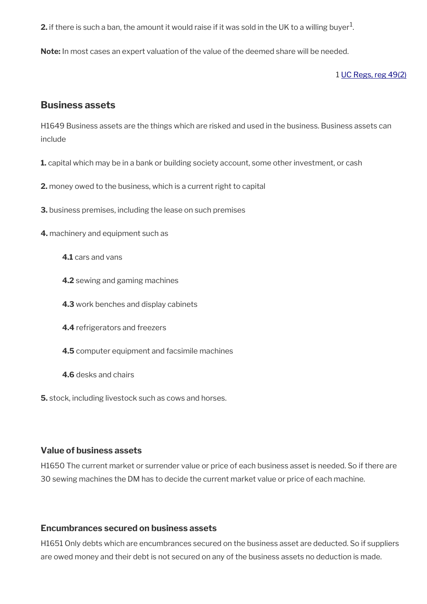**2.** if there is such a ban, the amount it would raise if it was sold in the UK to a willing buyer $^1$ .

**Note:** In most cases an expert valuation of the value of the deemed share will be needed.

#### 1 [UC Regs, reg 49\(2\)](http://www.legislation.gov.uk/uksi/2013/376/regulation/49)

## <span id="page-51-0"></span>**Business assets**

H1649 Business assets are the things which are risked and used in the business. Business assets can include

- **1.** capital which may be in a bank or building society account, some other investment, or cash
- **2.** money owed to the business, which is a current right to capital
- **3.** business premises, including the lease on such premises
- **4.** machinery and equipment such as
	- **4.1** cars and vans
	- **4.2** sewing and gaming machines
	- **4.3** work benches and display cabinets
	- **4.4** refrigerators and freezers
	- **4.5** computer equipment and facsimile machines
	- **4.6** desks and chairs
- **5.** stock, including livestock such as cows and horses.

### **Value of business assets**

H1650 The current market or surrender value or price of each business asset is needed. So if there are 30 sewing machines the DM has to decide the current market value or price of each machine.

## **Encumbrances secured on business assets**

H1651 Only debts which are encumbrances secured on the business asset are deducted. So if suppliers are owed money and their debt is not secured on any of the business assets no deduction is made.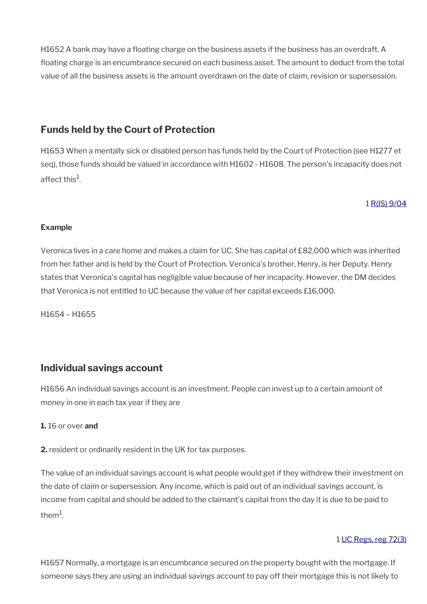H1652 A bank may have a foating charge on the business assets if the business has an overdraft. A foating charge is an encumbrance secured on each business asset. The amount to deduct from the total value of all the business assets is the amount overdrawn on the date of claim, revision or supersession.

# <span id="page-52-1"></span>**Funds held by the Court of Protection**

H1653 When a mentally sick or disabled person has funds held by the Court of Protection (see H1277 et seq), those funds should be valued in accordance with H1602 - H1608. The person's incapacity does not affect this $^1\!$ .

### 1 [R\(IS\) 9/04](http://intranet.dwp.gov.uk/manual/decision-benefit/ris-9-04)

#### **Example**

Veronica lives in a care home and makes a claim for UC. She has capital of £82,000 which was inherited from her father and is held by the Court of Protection. Veronica's brother, Henry, is her Deputy. Henry states that Veronica's capital has negligible value because of her incapacity. However, the DM decides that Veronica is not entitled to UC because the value of her capital exceeds £16,000.

H1654 – H1655

# <span id="page-52-0"></span>**Individual savings account**

H1656 An individual savings account is an investment. People can invest up to a certain amount of money in one in each tax year if they are

### **1.** 16 or over **and**

**2.** resident or ordinarily resident in the UK for tax purposes.

The value of an individual savings account is what people would get if they withdrew their investment on the date of claim or supersession. Any income, which is paid out of an individual savings account, is income from capital and should be added to the claimant's capital from the day it is due to be paid to them $^1$ .

### 1 [UC Regs, reg 72\(3\)](http://www.legislation.gov.uk/uksi/2013/376/regulation/72)

H1657 Normally, a mortgage is an encumbrance secured on the property bought with the mortgage. If someone says they are using an individual savings account to pay off their mortgage this is not likely to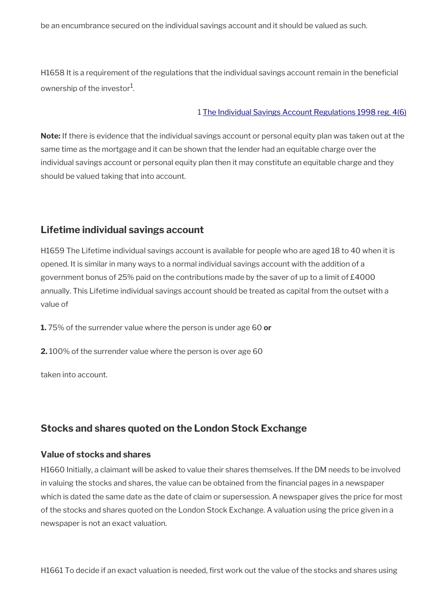be an encumbrance secured on the individual savings account and it should be valued as such.

H1658 It is a requirement of the regulations that the individual savings account remain in the beneficial ownership of the investor $^{\rm 1}$ .

#### 1 [The Individual Savings Account Regulations 1998 reg. 4\(6\)](http://www.legislation.gov.uk/uksi/1998/1870/regulation/4)

**Note:** If there is evidence that the individual savings account or personal equity plan was taken out at the same time as the mortgage and it can be shown that the lender had an equitable charge over the individual savings account or personal equity plan then it may constitute an equitable charge and they should be valued taking that into account.

## <span id="page-53-1"></span>**Lifetime individual savings account**

H1659 The Lifetime individual savings account is available for people who are aged 18 to 40 when it is opened. It is similar in many ways to a normal individual savings account with the addition of a government bonus of 25% paid on the contributions made by the saver of up to a limit of £4000 annually. This Lifetime individual savings account should be treated as capital from the outset with a value of

**1.** 75% of the surrender value where the person is under age 60 **or**

**2.** 100% of the surrender value where the person is over age 60

taken into account.

# <span id="page-53-0"></span>**Stocks and shares quoted on the London Stock Exchange**

### **Value of stocks and shares**

H1660 Initially, a claimant will be asked to value their shares themselves. If the DM needs to be involved in valuing the stocks and shares, the value can be obtained from the financial pages in a newspaper which is dated the same date as the date of claim or supersession. A newspaper gives the price for most of the stocks and shares quoted on the London Stock Exchange. A valuation using the price given in a newspaper is not an exact valuation.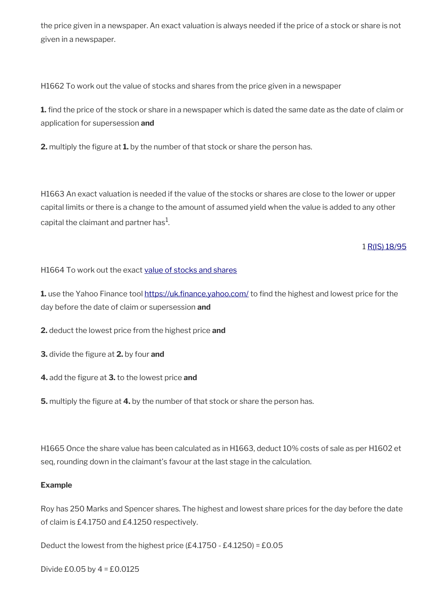the price given in a newspaper. An exact valuation is always needed if the price of a stock or share is not given in a newspaper.

H1662 To work out the value of stocks and shares from the price given in a newspaper

**1.** find the price of the stock or share in a newspaper which is dated the same date as the date of claim or application for supersession **and** 

**2.** multiply the fgure at **1.** by the number of that stock or share the person has.

H1663 An exact valuation is needed if the value of the stocks or shares are close to the lower or upper capital limits or there is a change to the amount of assumed yield when the value is added to any other capital the claimant and partner has $^{\rm 1}$ .

### 1 [R\(IS\) 18/95](http://intranet.dwp.gov.uk/manual/decision-benefit/ris-18-95)

H1664 To work out the exact [value of stocks and shares](https://intranet.dwp.gov.uk/manual/share-value-finder/share-value-finder)

1. use the Yahoo Finance tool https://uk.finance.yahoo.com/ to find the highest and lowest price for the day before the date of claim or supersession **and**

**2.** deduct the lowest price from the highest price **and**

- **3.** divide the fgure at **2.** by four **and**
- **4.** add the fgure at **3.** to the lowest price **and**

**5.** multiply the figure at **4.** by the number of that stock or share the person has.

H1665 Once the share value has been calculated as in H1663, deduct 10% costs of sale as per H1602 et seq, rounding down in the claimant's favour at the last stage in the calculation.

#### **Example**

Roy has 250 Marks and Spencer shares. The highest and lowest share prices for the day before the date of claim is £4.1750 and £4.1250 respectively.

Deduct the lowest from the highest price (£4.1750 - £4.1250) = £0.05

Divide £0.05 by 4 = £0.0125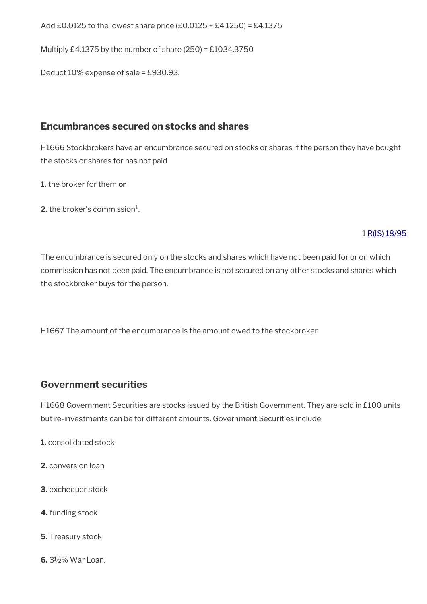Add £0.0125 to the lowest share price  $(£0.0125 + £4.1250) = £4.1375$ 

Multiply £4.1375 by the number of share (250) = £1034.3750

Deduct 10% expense of sale = £930.93.

# <span id="page-55-0"></span>**Encumbrances secured on stocks and shares**

H1666 Stockbrokers have an encumbrance secured on stocks or shares if the person they have bought the stocks or shares for has not paid

**1.** the broker for them **or** 

**2.** the broker's commission $^1$ .

### 1 [R\(IS\) 18/95](http://intranet.dwp.gov.uk/manual/decision-benefit/ris-18-95)

The encumbrance is secured only on the stocks and shares which have not been paid for or on which commission has not been paid. The encumbrance is not secured on any other stocks and shares which the stockbroker buys for the person.

H1667 The amount of the encumbrance is the amount owed to the stockbroker.

# **Government securities**

H1668 Government Securities are stocks issued by the British Government. They are sold in £100 units but re-investments can be for different amounts. Government Securities include

- **1.** consolidated stock
- **2.** conversion loan
- **3.** exchequer stock
- **4.** funding stock
- **5.** Treasury stock
- **6.** 3½% War Loan.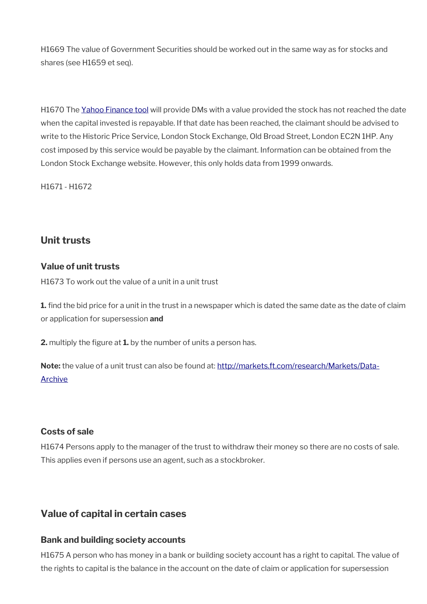H1669 The value of Government Securities should be worked out in the same way as for stocks and shares (see H1659 et seq).

H1670 The [Yahoo Finance tool](http://https://uk.finance.yahoo.com/) will provide DMs with a value provided the stock has not reached the date when the capital invested is repayable. If that date has been reached, the claimant should be advised to write to the Historic Price Service, London Stock Exchange, Old Broad Street, London EC2N 1HP. Any cost imposed by this service would be payable by the claimant. Information can be obtained from the London Stock Exchange website. However, this only holds data from 1999 onwards.

H1671 - H1672

# <span id="page-56-1"></span>**Unit trusts**

### **Value of unit trusts**

H1673 To work out the value of a unit in a unit trust

**1.** find the bid price for a unit in the trust in a newspaper which is dated the same date as the date of claim or application for supersession **and** 

**2.** multiply the figure at **1.** by the number of units a person has.

**Note:** the value of a unit trust can also be found at: [http://markets.ft.com/research/Markets/Data-](http://markets.ft.com/research/Markets/Data-Archive)[Archive](http://markets.ft.com/research/Markets/Data-Archive)

### **Costs of sale**

H1674 Persons apply to the manager of the trust to withdraw their money so there are no costs of sale. This applies even if persons use an agent, such as a stockbroker.

# <span id="page-56-0"></span>**Value of capital in certain cases**

### **Bank and building society accounts**

H1675 A person who has money in a bank or building society account has a right to capital. The value of the rights to capital is the balance in the account on the date of claim or application for supersession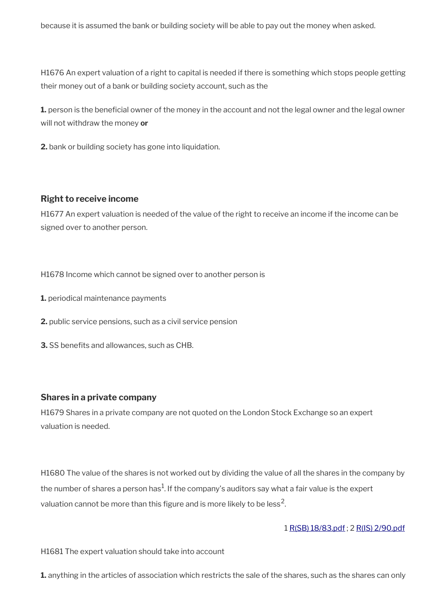because it is assumed the bank or building society will be able to pay out the money when asked.

H1676 An expert valuation of a right to capital is needed if there is something which stops people getting their money out of a bank or building society account, such as the

**1.** person is the beneficial owner of the money in the account and not the legal owner and the legal owner will not withdraw the money **or** 

**2.** bank or building society has gone into liquidation.

#### **Right to receive income**

H1677 An expert valuation is needed of the value of the right to receive an income if the income can be signed over to another person.

H1678 Income which cannot be signed over to another person is

- **1.** periodical maintenance payments
- **2.** public service pensions, such as a civil service pension
- **3.** SS benefits and allowances, such as CHB.

#### **Shares in a private company**

H1679 Shares in a private company are not quoted on the London Stock Exchange so an expert valuation is needed.

H1680 The value of the shares is not worked out by dividing the value of all the shares in the company by the number of shares a person has $^1$ . If the company's auditors say what a fair value is the expert valuation cannot be more than this figure and is more likely to be less<sup>2</sup>.

#### 1 [R\(SB\) 18/83.pdf](../file/887079/download/R%2528SB%2529%252018%252F83.pdf) ; 2 [R\(IS\) 2/90.pdf](../file/887086/download/R%2528IS%2529%25202%252F90.pdf)

H1681 The expert valuation should take into account

**1.** anything in the articles of association which restricts the sale of the shares, such as the shares can only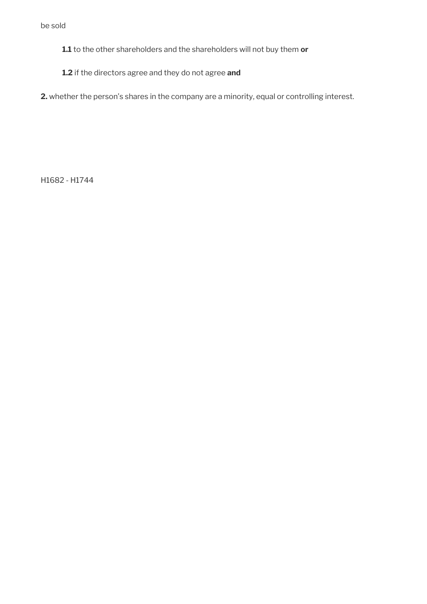be sold

**1.1** to the other shareholders and the shareholders will not buy them **or** 

**1.2** if the directors agree and they do not agree **and** 

**2.** whether the person's shares in the company are a minority, equal or controlling interest.

H1682 - H1744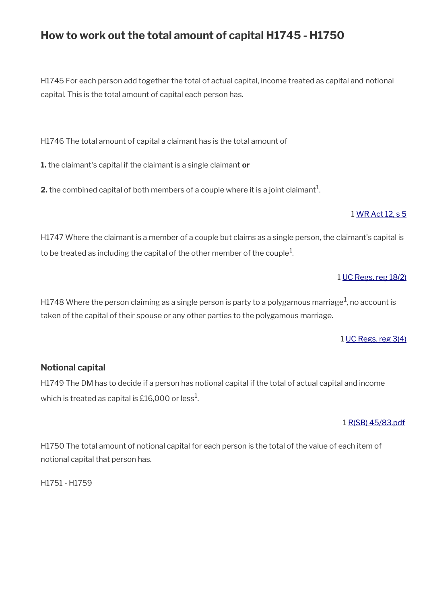# **How to work out the total amount of capital H1745 - H1750**

H1745 For each person add together the total of actual capital, income treated as capital and notional capital. This is the total amount of capital each person has.

H1746 The total amount of capital a claimant has is the total amount of

**1.** the claimant's capital if the claimant is a single claimant **or** 

**2.** the combined capital of both members of a couple where it is a joint claimant $^1$ .

### 1 [WR Act 12, s 5](http://www.legislation.gov.uk/ukpga/2012/5/section/5)

H1747 Where the claimant is a member of a couple but claims as a single person, the claimant's capital is to be treated as including the capital of the other member of the couple $^1\!$ 

### 1 [UC Regs, reg 18\(2\)](http://www.legislation.gov.uk/uksi/2013/376/regulation/18)

H1748 Where the person claiming as a single person is party to a polygamous marriage $^1$ , no account is taken of the capital of their spouse or any other parties to the polygamous marriage.

### 1 [UC Regs, reg 3\(4\)](http://www.legislation.gov.uk/uksi/2013/376/regulation/3)

## **Notional capital**

H1749 The DM has to decide if a person has notional capital if the total of actual capital and income which is treated as capital is £16,000 or less $^{\rm 1}$ .

#### 1 [R\(SB\) 45/83.pdf](../file/887103/download/R%2528SB%2529%252045%252F83.pdf)

H1750 The total amount of notional capital for each person is the total of the value of each item of notional capital that person has.

H1751 - H1759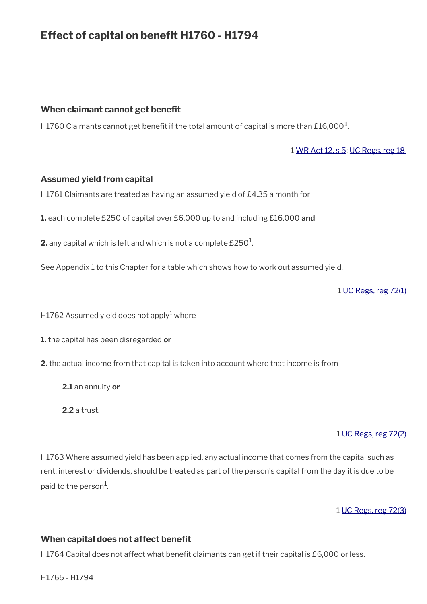# **Effect of capital on benefit H1760 - H1794**

### **When claimant cannot get beneft**

H1760 Claimants cannot get benefit if the total amount of capital is more than £16,000 $^{\rm 1}$ .

#### 1 [WR Act 12, s 5;](http://www.legislation.gov.uk/ukpga/2012/5/section/5) [UC Regs, reg 18](http://www.legislation.gov.uk/uksi/2013/376/regulation/18)

#### **Assumed yield from capital**

H1761 Claimants are treated as having an assumed yield of £4.35 a month for

**1.** each complete £250 of capital over £6,000 up to and including £16,000 **and**

**2.** any capital which is left and which is not a complete  $\pounds 250^1$ .

See Appendix 1 to this Chapter for a table which shows how to work out assumed yield.

1 [UC Regs, reg 72\(1\)](http://www.legislation.gov.uk/uksi/2013/376/regulation/72)

H1762 Assumed yield does not apply $^1$  where

- **1.** the capital has been disregarded **or**
- **2.** the actual income from that capital is taken into account where that income is from
	- **2.1** an annuity **or**

**2.2** a trust.

#### 1 [UC Regs, reg 72\(2\)](http://www.legislation.gov.uk/uksi/2013/376/regulation/72)

H1763 Where assumed yield has been applied, any actual income that comes from the capital such as rent, interest or dividends, should be treated as part of the person's capital from the day it is due to be paid to the person $^{\rm 1}$ .

1 [UC Regs, reg 72\(3\)](http://www.legislation.gov.uk/uksi/2013/376/regulation/72)

#### **When capital does not affect benefit**

H1764 Capital does not affect what benefit claimants can get if their capital is £6,000 or less.

H1765 - H1794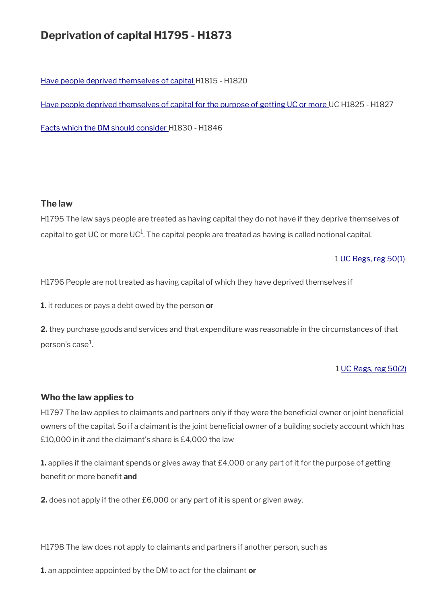# **Deprivation of capital H1795 - H1873**

[Have people deprived themselves of capital](#page-63-0) H1815 - H1820

[Have people deprived themselves of capital for the purpose of getting UC or more](#page-65-0) UC H1825 - H1827

[Facts which the DM should consider H](#page-66-0)1830 - H1846

### **The law**

H1795 The law says people are treated as having capital they do not have if they deprive themselves of capital to get UC or more UC $^1$ . The capital people are treated as having is called notional capital.

1 [UC Regs, reg 50\(1\)](http://www.legislation.gov.uk/uksi/2013/376/regulation/50)

H1796 People are not treated as having capital of which they have deprived themselves if

**1.** it reduces or pays a debt owed by the person **or** 

**2.** they purchase goods and services and that expenditure was reasonable in the circumstances of that person's case $^{\rm 1}$ .

1 [UC Regs, reg 50\(2\)](http://www.legislation.gov.uk/uksi/2013/376/regulation/50)

### **Who the law applies to**

H1797 The law applies to claimants and partners only if they were the beneficial owner or joint beneficial owners of the capital. So if a claimant is the joint beneficial owner of a building society account which has £10,000 in it and the claimant's share is £4,000 the law

**1.** applies if the claimant spends or gives away that £4,000 or any part of it for the purpose of getting benefit or more benefit **and** 

**2.** does not apply if the other £6,000 or any part of it is spent or given away.

H1798 The law does not apply to claimants and partners if another person, such as

**1.** an appointee appointed by the DM to act for the claimant **or**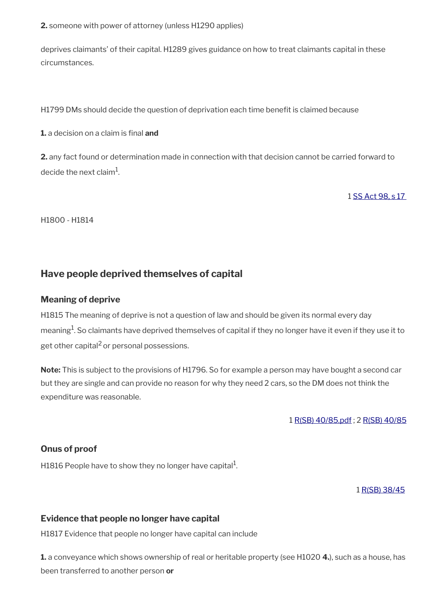**2.** someone with power of attorney (unless H1290 applies)

deprives claimants' of their capital. H1289 gives guidance on how to treat claimants capital in these circumstances.

H1799 DMs should decide the question of deprivation each time benefit is claimed because

**1.** a decision on a claim is final **and** 

**2.** any fact found or determination made in connection with that decision cannot be carried forward to decide the next claim $^{\rm 1}$ .

1 [SS Act 98, s 17](http://www.legislation.gov.uk/ukpga/1998/14/contents) 

H1800 - H1814

# <span id="page-63-0"></span>**Have people deprived themselves of capital**

#### **Meaning of deprive**

H1815 The meaning of deprive is not a question of law and should be given its normal every day meaning $^{\! 1}$ . So claimants have deprived themselves of capital if they no longer have it even if they use it to get other capital<sup>2</sup> or personal possessions.

**Note:** This is subject to the provisions of H1796. So for example a person may have bought a second car but they are single and can provide no reason for why they need 2 cars, so the DM does not think the expenditure was reasonable.

1 [R\(SB\) 40/85.pdf](../file/887115/download/R%2528SB%2529%252040%252F85.pdf) ; 2 [R\(SB\) 40/85](../file/887115/download/R%2528SB%2529%252040%252F85.pdf)

### **Onus of proof**

H1816 People have to show they no longer have capital $^1$ .

#### 1 [R\(SB\) 38/45](../file/887119/download/R%2528SB%2529%252038%252F45.pdf)

### **Evidence that people no longer have capital**

H1817 Evidence that people no longer have capital can include

**1.** a conveyance which shows ownership of real or heritable property (see H1020 **4.**), such as a house, has been transferred to another person **or**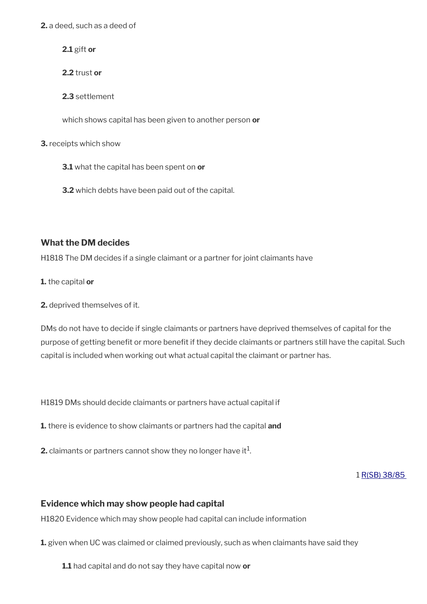**2.** a deed, such as a deed of

**2.1** gift **or** 

**2.2** trust **or** 

**2.3** settlement

which shows capital has been given to another person **or** 

**3.** receipts which show

**3.1** what the capital has been spent on **or** 

**3.2** which debts have been paid out of the capital.

### **What the DM decides**

H1818 The DM decides if a single claimant or a partner for joint claimants have

**1.** the capital **or** 

**2.** deprived themselves of it.

DMs do not have to decide if single claimants or partners have deprived themselves of capital for the purpose of getting benefit or more benefit if they decide claimants or partners still have the capital. Such capital is included when working out what actual capital the claimant or partner has.

H1819 DMs should decide claimants or partners have actual capital if

**1.** there is evidence to show claimants or partners had the capital **and** 

**2.** claimants or partners cannot show they no longer have it $^1$ .

1 [R\(SB\) 38/85](../file/887119/download/R%2528SB%2529%252038%252F45.pdf) 

### **Evidence which may show people had capital**

H1820 Evidence which may show people had capital can include information

**1.** given when UC was claimed or claimed previously, such as when claimants have said they

**1.1** had capital and do not say they have capital now **or**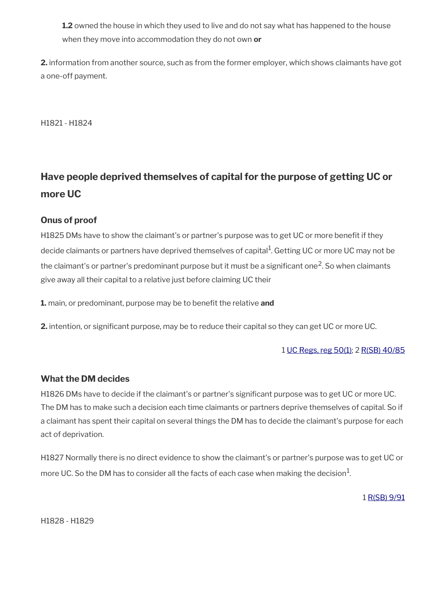**1.2** owned the house in which they used to live and do not say what has happened to the house when they move into accommodation they do not own **or** 

**2.** information from another source, such as from the former employer, which shows claimants have got a one-off payment.

H1821 - H1824

# <span id="page-65-0"></span>**Have people deprived themselves of capital for the purpose of getting UC or more UC**

## **Onus of proof**

H1825 DMs have to show the claimant's or partner's purpose was to get UC or more beneft if they decide claimants or partners have deprived themselves of capital<sup>1</sup>. Getting UC or more UC may not be the claimant's or partner's predominant purpose but it must be a significant one<sup>2</sup>. So when claimants give away all their capital to a relative just before claiming UC their

**1.** main, or predominant, purpose may be to benefit the relative and

**2.** intention, or significant purpose, may be to reduce their capital so they can get UC or more UC.

#### 1 [UC Regs, reg 50\(1\)](http://www.legislation.gov.uk/uksi/2013/376/regulation/50); 2 [R\(SB\) 40/85](../file/887121/download/R%2528SB%2529%252040%252F85.pdf)

### **What the DM decides**

H1826 DMs have to decide if the claimant's or partner's significant purpose was to get UC or more UC. The DM has to make such a decision each time claimants or partners deprive themselves of capital. So if a claimant has spent their capital on several things the DM has to decide the claimant's purpose for each act of deprivation.

H1827 Normally there is no direct evidence to show the claimant's or partner's purpose was to get UC or more UC. So the DM has to consider all the facts of each case when making the decision $^1\!$ 

1 [R\(SB\) 9/91](../file/887122/download/R%2528SB%2529%25209%252F91.pdf)

H1828 - H1829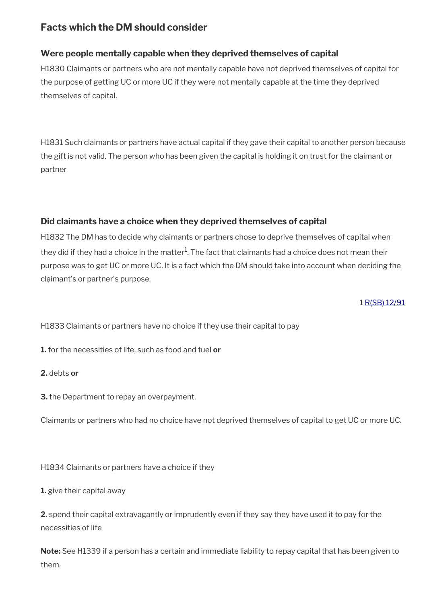# <span id="page-66-0"></span>**Facts which the DM should consider**

# **Were people mentally capable when they deprived themselves of capital**

H1830 Claimants or partners who are not mentally capable have not deprived themselves of capital for the purpose of getting UC or more UC if they were not mentally capable at the time they deprived themselves of capital.

H1831 Such claimants or partners have actual capital if they gave their capital to another person because the gift is not valid. The person who has been given the capital is holding it on trust for the claimant or partner

# **Did claimants have a choice when they deprived themselves of capital**

H1832 The DM has to decide why claimants or partners chose to deprive themselves of capital when they did if they had a choice in the matter $^1$ . The fact that claimants had a choice does not mean their purpose was to get UC or more UC. It is a fact which the DM should take into account when deciding the claimant's or partner's purpose.

1 [R\(SB\) 12/91](../file/887123/download/R%2528SB%2529%252012%252F91.pdf)

H1833 Claimants or partners have no choice if they use their capital to pay

**1.** for the necessities of life, such as food and fuel **or** 

**2.** debts **or**

**3.** the Department to repay an overpayment.

Claimants or partners who had no choice have not deprived themselves of capital to get UC or more UC.

H1834 Claimants or partners have a choice if they

**1.** give their capital away

**2.** spend their capital extravagantly or imprudently even if they say they have used it to pay for the necessities of life

**Note:** See H1339 if a person has a certain and immediate liability to repay capital that has been given to them.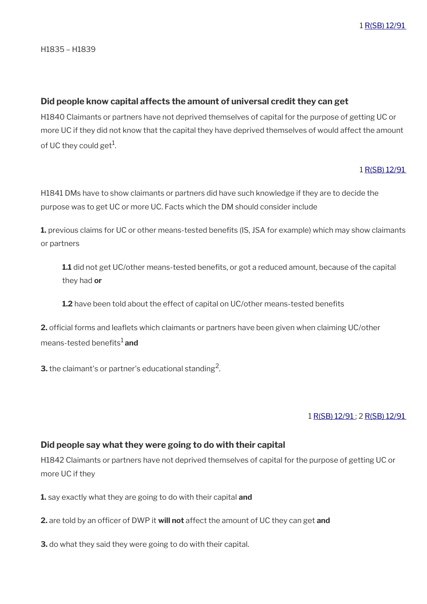#### **Did people know capital affects the amount of universal credit they can get**

H1840 Claimants or partners have not deprived themselves of capital for the purpose of getting UC or more UC if they did not know that the capital they have deprived themselves of would affect the amount of UC they could get<sup>1</sup>.

#### 1 [R\(SB\) 12/91](../file/887123/download/R%2528SB%2529%252012%252F91.pdf)

H1841 DMs have to show claimants or partners did have such knowledge if they are to decide the purpose was to get UC or more UC. Facts which the DM should consider include

**1.** previous claims for UC or other means-tested benefits (IS, JSA for example) which may show claimants or partners

**1.1** did not get UC/other means-tested benefts, or got a reduced amount, because of the capital they had **or** 

**1.2** have been told about the effect of capital on UC/other means-tested benefits

**2.** official forms and leaflets which claimants or partners have been given when claiming UC/other means-tested benefits<sup>1</sup> and

**3.** the claimant's or partner's educational standing<sup>2</sup>.

### 1 [R\(SB\) 12/91](../file/887123/download/R%2528SB%2529%252012%252F91.pdf) ; 2 [R\(SB\) 12/91](../file/887123/download/R%2528SB%2529%252012%252F91.pdf)

### **Did people say what they were going to do with their capital**

H1842 Claimants or partners have not deprived themselves of capital for the purpose of getting UC or more UC if they

**1.** say exactly what they are going to do with their capital **and** 

**2.** are told by an officer of DWP it will not affect the amount of UC they can get and

**3.** do what they said they were going to do with their capital.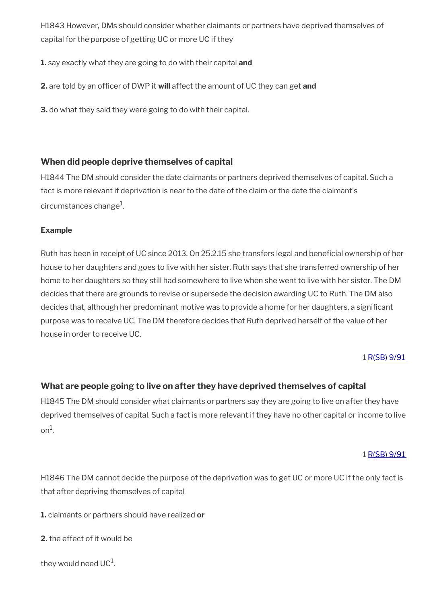H1843 However, DMs should consider whether claimants or partners have deprived themselves of capital for the purpose of getting UC or more UC if they

**1.** say exactly what they are going to do with their capital **and**

**2.** are told by an officer of DWP it will affect the amount of UC they can get and

**3.** do what they said they were going to do with their capital.

## **When did people deprive themselves of capital**

H1844 The DM should consider the date claimants or partners deprived themselves of capital. Such a fact is more relevant if deprivation is near to the date of the claim or the date the claimant's circumstances change $^{\rm 1}$ .

#### **Example**

Ruth has been in receipt of UC since 2013. On 25.2.15 she transfers legal and benefcial ownership of her house to her daughters and goes to live with her sister. Ruth says that she transferred ownership of her home to her daughters so they still had somewhere to live when she went to live with her sister. The DM decides that there are grounds to revise or supersede the decision awarding UC to Ruth. The DM also decides that, although her predominant motive was to provide a home for her daughters, a significant purpose was to receive UC. The DM therefore decides that Ruth deprived herself of the value of her house in order to receive UC.

1 [R\(SB\) 9/91](../file/887122/download/R%2528SB%2529%25209%252F91.pdf) 

## **What are people going to live on after they have deprived themselves of capital**

H1845 The DM should consider what claimants or partners say they are going to live on after they have deprived themselves of capital. Such a fact is more relevant if they have no other capital or income to live  $\circ$ n<sup>1</sup>.

#### 1 [R\(SB\) 9/91](../file/887122/download/R%2528SB%2529%25209%252F91.pdf)

H1846 The DM cannot decide the purpose of the deprivation was to get UC or more UC if the only fact is that after depriving themselves of capital

**1.** claimants or partners should have realized **or** 

**2.** the effect of it would be

```
they would need UC^1.
```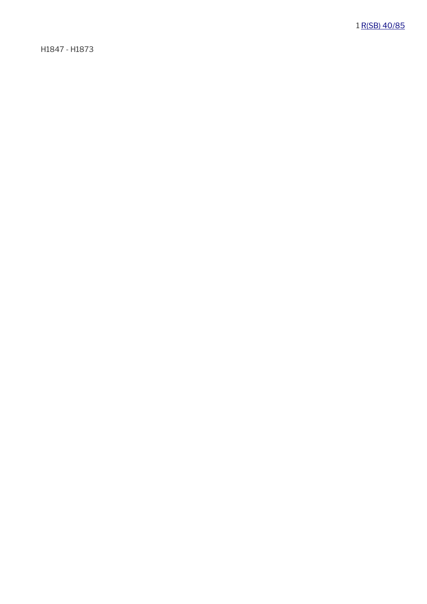H1847 - H1873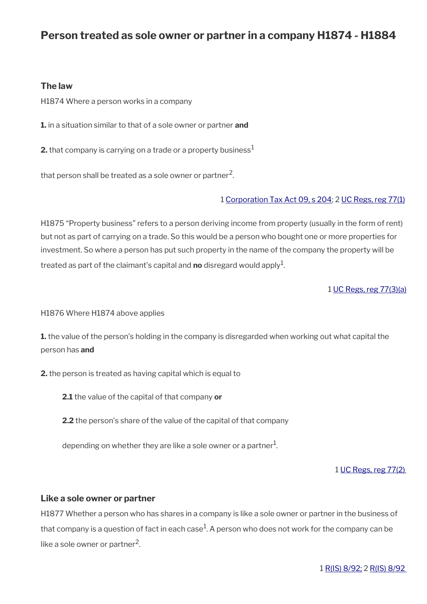# **Person treated as sole owner or partner in a company H1874 - H1884**

#### **The law**

H1874 Where a person works in a company

**1.** in a situation similar to that of a sole owner or partner **and**

**2.** that company is carrying on a trade or a property business<sup>1</sup>

that person shall be treated as a sole owner or partner $^2\!$ 

#### 1 [Corporation Tax Act 09, s 204;](http://www.legislation.gov.uk/ukpga/2009/4/section/204) 2 [UC Regs, reg 77\(1\)](http://www.legislation.gov.uk/uksi/2013/376/regulation/77)

H1875 "Property business" refers to a person deriving income from property (usually in the form of rent) but not as part of carrying on a trade. So this would be a person who bought one or more properties for investment. So where a person has put such property in the name of the company the property will be treated as part of the claimant's capital and **no** disregard would apply<sup>1</sup>.

1 [UC Regs, reg 77\(3\)\(a\)](http://www.legislation.gov.uk/uksi/2013/376/regulation/77)

H1876 Where H1874 above applies

**1.** the value of the person's holding in the company is disregarded when working out what capital the person has **and** 

**2.** the person is treated as having capital which is equal to

**2.1** the value of the capital of that company **or** 

**2.2** the person's share of the value of the capital of that company

depending on whether they are like a sole owner or a partner $^1$ .

1 [UC Regs, reg 77\(2\)](http://www.legislation.gov.uk/uksi/2013/376/regulation/77) 

#### **Like a sole owner or partner**

H1877 Whether a person who has shares in a company is like a sole owner or partner in the business of that company is a question of fact in each case $^1$ . A person who does not work for the company can be like a sole owner or partner<sup>2</sup>.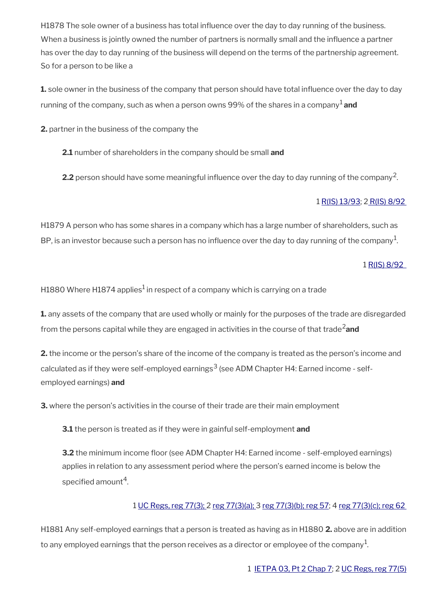H1878 The sole owner of a business has total infuence over the day to day running of the business. When a business is jointly owned the number of partners is normally small and the infuence a partner has over the day to day running of the business will depend on the terms of the partnership agreement. So for a person to be like a

**1.** sole owner in the business of the company that person should have total infuence over the day to day running of the company, such as when a person owns 99% of the shares in a company<sup>1</sup> and

**2.** partner in the business of the company the

**2.1** number of shareholders in the company should be small **and** 

**2.2** person should have some meaningful influence over the day to day running of the company<sup>2</sup>.

### 1 [R\(IS\) 13/93](http://intranet.dwp.gov.uk/manual/decision-benefit/ris-13-93); [2 R\(IS\) 8/92](http://intranet.dwp.gov.uk/manual/decision-benefit/ris-8-92)

H1879 A person who has some shares in a company which has a large number of shareholders, such as BP, is an investor because such a person has no influence over the day to day running of the company $^{\rm 1}$ .

1 [R\(IS\) 8/92](http://intranet.dwp.gov.uk/manual/decision-benefit/ris-8-92) 

H1880 Where H1874 applies $^1$  in respect of a company which is carrying on a trade

**1.** any assets of the company that are used wholly or mainly for the purposes of the trade are disregarded from the persons capital while they are engaged in activities in the course of that trade2**and**

**2.** the income or the person's share of the income of the company is treated as the person's income and calculated as if they were self-employed earnings $^3$  (see ADM Chapter H4: Earned income - selfemployed earnings) **and**

**3.** where the person's activities in the course of their trade are their main employment

**3.1** the person is treated as if they were in gainful self-employment **and**

**3.2** the minimum income floor (see ADM Chapter H4: Earned income - self-employed earnings) applies in relation to any assessment period where the person's earned income is below the specified amount $^4$ .

## 1 [UC Regs, reg 77\(3\); 2 reg 77\(3\)\(a\); 3](http://www.legislation.gov.uk/uksi/2013/376/regulation/77) [reg 77\(3\)\(b\);](http://www.legislation.gov.uk/uksi/2013/376/regulation/77) [reg 57;](http://www.legislation.gov.uk/uksi/2013/376/regulation/57) 4 [reg 77\(3\)\(c\);](http://www.legislation.gov.uk/uksi/2013/376/regulation/77) [reg 62](http://www.legislation.gov.uk/uksi/2013/376/regulation/62)

H1881 Any self-employed earnings that a person is treated as having as in H1880 **2.** above are in addition to any employed earnings that the person receives as a director or employee of the company $^{\rm 1}$ .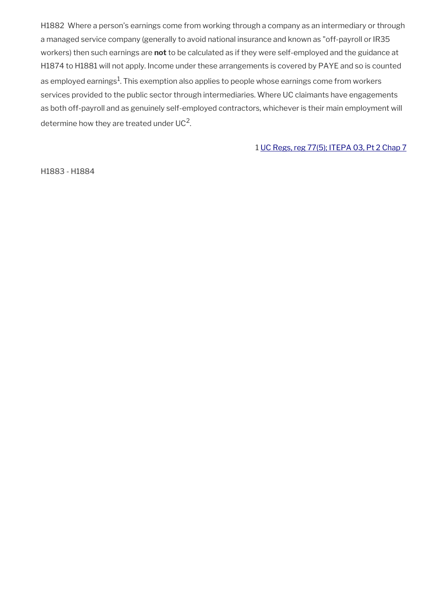H1882 Where a person's earnings come from working through a company as an intermediary or through a managed service company (generally to avoid national insurance and known as "off-payroll or IR35 workers) then such earnings are **not** to be calculated as if they were self-employed and the guidance at H1874 to H1881 will not apply. Income under these arrangements is covered by PAYE and so is counted as employed earnings $^1$ . This exemption also applies to people whose earnings come from workers services provided to the public sector through intermediaries. Where UC claimants have engagements as both off-payroll and as genuinely self-employed contractors, whichever is their main employment will determine how they are treated under UC<sup>2</sup>.

1 [UC Regs, reg 77\(5\);](http://www.legislation.gov.uk/uksi/2013/376/regulation/77) [ITEPA 03, Pt 2 Chap 7](http://www.legislation.gov.uk/ukpga/2003/1/part/2/chapter/7)

H1883 - H1884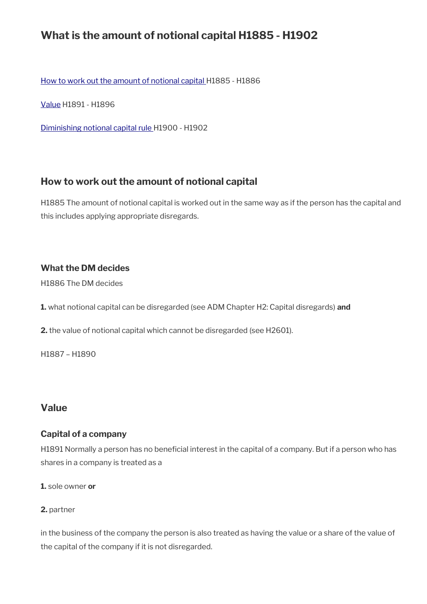## **What is the amount of notional capital H1885 - H1902**

[How to work out the amount of notional capital H](#page-73-1)1885 - H1886

[Value](#page-73-0) H1891 - H1896

[Diminishing notional capital rule](#page-75-0) H1900 - H1902

## <span id="page-73-1"></span>**How to work out the amount of notional capital**

H1885 The amount of notional capital is worked out in the same way as if the person has the capital and this includes applying appropriate disregards.

## **What the DM decides**

H1886 The DM decides

**1.** what notional capital can be disregarded (see ADM Chapter H2: Capital disregards) **and** 

**2.** the value of notional capital which cannot be disregarded (see H2601).

H1887 – H1890

## <span id="page-73-0"></span>**Value**

## **Capital of a company**

H1891 Normally a person has no beneficial interest in the capital of a company. But if a person who has shares in a company is treated as a

**1.** sole owner **or** 

#### **2.** partner

in the business of the company the person is also treated as having the value or a share of the value of the capital of the company if it is not disregarded.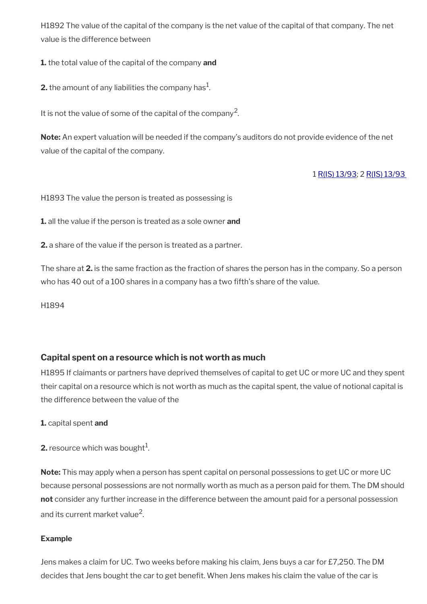H1892 The value of the capital of the company is the net value of the capital of that company. The net value is the difference between

**1.** the total value of the capital of the company **and** 

**2.** the amount of any liabilities the company has $^1$ .

It is not the value of some of the capital of the company<sup>2</sup>.

**Note:** An expert valuation will be needed if the company's auditors do not provide evidence of the net value of the capital of the company.

#### 1 [R\(IS\) 13/93](http://intranet.dwp.gov.uk/manual/decision-benefit/ris-13-93); 2 [R\(IS\) 13/93](http://intranet.dwp.gov.uk/manual/decision-benefit/ris-13-93)

H1893 The value the person is treated as possessing is

**1.** all the value if the person is treated as a sole owner **and** 

**2.** a share of the value if the person is treated as a partner.

The share at **2.** is the same fraction as the fraction of shares the person has in the company. So a person who has 40 out of a 100 shares in a company has a two ffth's share of the value.

H1894

#### **Capital spent on a resource which is not worth as much**

H1895 If claimants or partners have deprived themselves of capital to get UC or more UC and they spent their capital on a resource which is not worth as much as the capital spent, the value of notional capital is the difference between the value of the

#### **1.** capital spent **and**

**2.** resource which was bought $^1$ .

**Note:** This may apply when a person has spent capital on personal possessions to get UC or more UC because personal possessions are not normally worth as much as a person paid for them. The DM should **not** consider any further increase in the difference between the amount paid for a personal possession and its current market value<sup>2</sup>.

#### **Example**

Jens makes a claim for UC. Two weeks before making his claim, Jens buys a car for £7,250. The DM decides that Jens bought the car to get beneft. When Jens makes his claim the value of the car is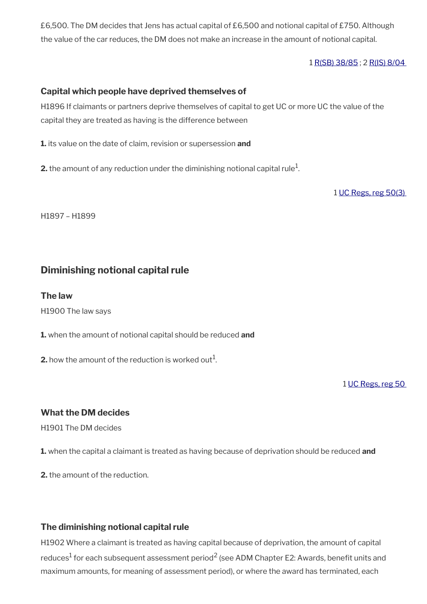£6,500. The DM decides that Jens has actual capital of £6,500 and notional capital of £750. Although the value of the car reduces, the DM does not make an increase in the amount of notional capital.

1 [R\(SB\) 38/85](../file/887134/download/R%2528SB%2529%252038%252F85.pdf) ; 2 [R\(IS\) 8/04](http://intranet.dwp.gov.uk/manual/decision-benefit/ris-8-04) 

#### **Capital which people have deprived themselves of**

H1896 If claimants or partners deprive themselves of capital to get UC or more UC the value of the capital they are treated as having is the difference between

**1.** its value on the date of claim, revision or supersession **and** 

 $\mathbf 2$ . the amount of any reduction under the diminishing notional capital rule $^1$ .

1 [UC Regs, reg 50\(3\)](http://www.legislation.gov.uk/uksi/2013/376/regulation/50) 

H1897 – H1899

## <span id="page-75-0"></span>**Diminishing notional capital rule**

#### **The law**

H1900 The law says

**1.** when the amount of notional capital should be reduced **and** 

**2.** how the amount of the reduction is worked out $^1$ .

1 [UC Regs, reg 50](http://www.legislation.gov.uk/uksi/2013/376/regulation/50) 

## **What the DM decides**

H1901 The DM decides

**1.** when the capital a claimant is treated as having because of deprivation should be reduced **and** 

**2.** the amount of the reduction.

## **The diminishing notional capital rule**

H1902 Where a claimant is treated as having capital because of deprivation, the amount of capital reduces $^1$  for each subsequent assessment period $^2$  (see ADM Chapter E2: Awards, benefit units and maximum amounts, for meaning of assessment period), or where the award has terminated, each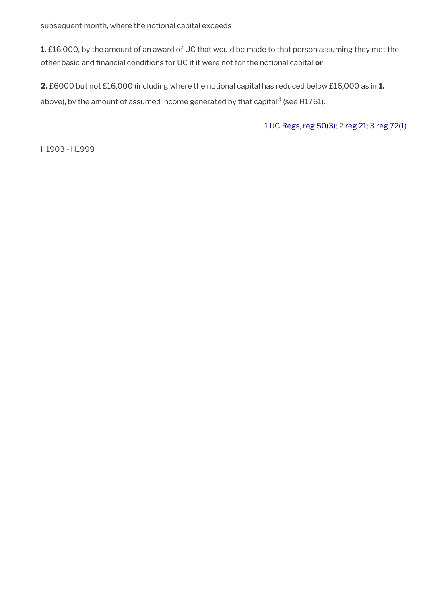subsequent month, where the notional capital exceeds

**1.** £16,000, by the amount of an award of UC that would be made to that person assuming they met the other basic and fnancial conditions for UC if it were not for the notional capital **or**

**2.** £6000 but not £16,000 (including where the notional capital has reduced below £16,000 as in **1.** above), by the amount of assumed income generated by that capital<sup>3</sup> (see H1761).

1 [UC Regs, reg 50\(3\); 2](http://www.legislation.gov.uk/uksi/2013/376/regulation/50) [reg 21](http://www.legislation.gov.uk/uksi/2013/376/regulation/21); 3 [reg 72\(1\)](http://www.legislation.gov.uk/uksi/2013/376/regulation/72)

H1903 - H1999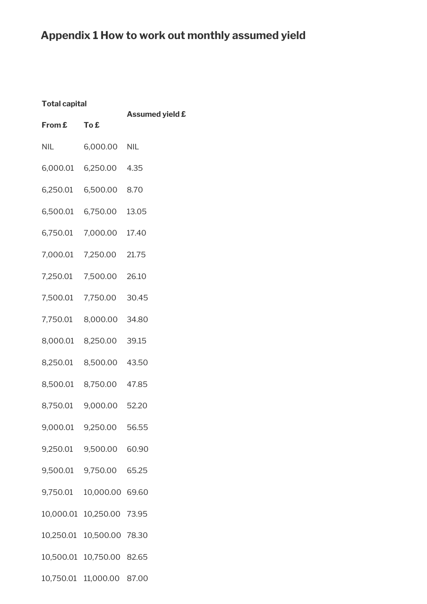# **Appendix 1 How to work out monthly assumed yield**

| From £ To £ |                           | <b>Assumed yield £</b> |
|-------------|---------------------------|------------------------|
| <b>NIL</b>  | 6,000.00 NIL              |                        |
|             | 6,000.01 6,250.00 4.35    |                        |
|             | 6,250.01 6,500.00 8.70    |                        |
|             | 6,500.01 6,750.00 13.05   |                        |
|             | 6,750.01 7,000.00 17.40   |                        |
|             | 7,000.01 7,250.00 21.75   |                        |
|             | 7,250.01 7,500.00 26.10   |                        |
|             | 7,500.01 7,750.00 30.45   |                        |
|             | 7,750.01 8,000.00 34.80   |                        |
|             | 8,000.01 8,250.00 39.15   |                        |
|             | 8,250.01 8,500.00 43.50   |                        |
|             | 8,500.01 8,750.00 47.85   |                        |
|             | 8,750.01 9,000.00 52.20   |                        |
|             | 9,000.01 9,250.00 56.55   |                        |
|             | 9,250.01 9,500.00 60.90   |                        |
|             | 9,500.01 9,750.00 65.25   |                        |
|             | 9,750.01 10,000.00 69.60  |                        |
|             | 10,000.01 10,250.00 73.95 |                        |
|             | 10,250.01 10,500.00 78.30 |                        |
|             | 10,500.01 10,750.00 82.65 |                        |
|             | 10,750.01 11,000.00 87.00 |                        |